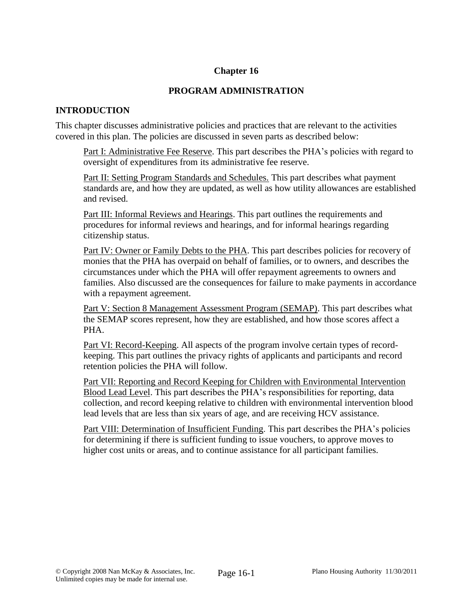## **Chapter 16**

### **PROGRAM ADMINISTRATION**

### **INTRODUCTION**

This chapter discusses administrative policies and practices that are relevant to the activities covered in this plan. The policies are discussed in seven parts as described below:

Part I: Administrative Fee Reserve. This part describes the PHA's policies with regard to oversight of expenditures from its administrative fee reserve.

Part II: Setting Program Standards and Schedules. This part describes what payment standards are, and how they are updated, as well as how utility allowances are established and revised.

Part III: Informal Reviews and Hearings. This part outlines the requirements and procedures for informal reviews and hearings, and for informal hearings regarding citizenship status.

Part IV: Owner or Family Debts to the PHA. This part describes policies for recovery of monies that the PHA has overpaid on behalf of families, or to owners, and describes the circumstances under which the PHA will offer repayment agreements to owners and families. Also discussed are the consequences for failure to make payments in accordance with a repayment agreement.

Part V: Section 8 Management Assessment Program (SEMAP). This part describes what the SEMAP scores represent, how they are established, and how those scores affect a PHA.

Part VI: Record-Keeping. All aspects of the program involve certain types of recordkeeping. This part outlines the privacy rights of applicants and participants and record retention policies the PHA will follow.

Part VII: Reporting and Record Keeping for Children with Environmental Intervention Blood Lead Level. This part describes the PHA's responsibilities for reporting, data collection, and record keeping relative to children with environmental intervention blood lead levels that are less than six years of age, and are receiving HCV assistance.

Part VIII: Determination of Insufficient Funding. This part describes the PHA's policies for determining if there is sufficient funding to issue vouchers, to approve moves to higher cost units or areas, and to continue assistance for all participant families.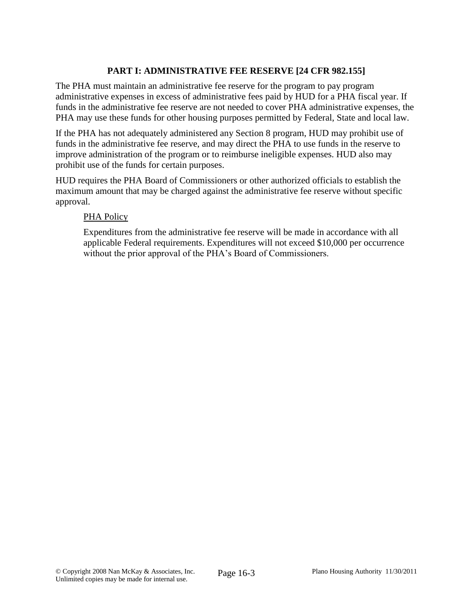# **PART I: ADMINISTRATIVE FEE RESERVE [24 CFR 982.155]**

The PHA must maintain an administrative fee reserve for the program to pay program administrative expenses in excess of administrative fees paid by HUD for a PHA fiscal year. If funds in the administrative fee reserve are not needed to cover PHA administrative expenses, the PHA may use these funds for other housing purposes permitted by Federal, State and local law.

If the PHA has not adequately administered any Section 8 program, HUD may prohibit use of funds in the administrative fee reserve, and may direct the PHA to use funds in the reserve to improve administration of the program or to reimburse ineligible expenses. HUD also may prohibit use of the funds for certain purposes.

HUD requires the PHA Board of Commissioners or other authorized officials to establish the maximum amount that may be charged against the administrative fee reserve without specific approval.

### PHA Policy

Expenditures from the administrative fee reserve will be made in accordance with all applicable Federal requirements. Expenditures will not exceed \$10,000 per occurrence without the prior approval of the PHA's Board of Commissioners.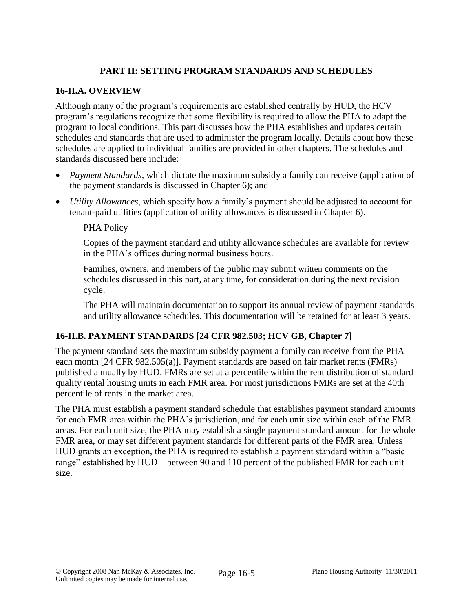# **PART II: SETTING PROGRAM STANDARDS AND SCHEDULES**

## **16-II.A. OVERVIEW**

Although many of the program's requirements are established centrally by HUD, the HCV program's regulations recognize that some flexibility is required to allow the PHA to adapt the program to local conditions. This part discusses how the PHA establishes and updates certain schedules and standards that are used to administer the program locally. Details about how these schedules are applied to individual families are provided in other chapters. The schedules and standards discussed here include:

- *Payment Standards*, which dictate the maximum subsidy a family can receive (application of the payment standards is discussed in Chapter 6); and
- *Utility Allowances*, which specify how a family's payment should be adjusted to account for tenant-paid utilities (application of utility allowances is discussed in Chapter 6).

## PHA Policy

Copies of the payment standard and utility allowance schedules are available for review in the PHA's offices during normal business hours.

Families, owners, and members of the public may submit written comments on the schedules discussed in this part, at any time, for consideration during the next revision cycle.

The PHA will maintain documentation to support its annual review of payment standards and utility allowance schedules. This documentation will be retained for at least 3 years.

# **16-II.B. PAYMENT STANDARDS [24 CFR 982.503; HCV GB, Chapter 7]**

The payment standard sets the maximum subsidy payment a family can receive from the PHA each month [24 CFR 982.505(a)]. Payment standards are based on fair market rents (FMRs) published annually by HUD. FMRs are set at a percentile within the rent distribution of standard quality rental housing units in each FMR area. For most jurisdictions FMRs are set at the 40th percentile of rents in the market area.

The PHA must establish a payment standard schedule that establishes payment standard amounts for each FMR area within the PHA's jurisdiction, and for each unit size within each of the FMR areas. For each unit size, the PHA may establish a single payment standard amount for the whole FMR area, or may set different payment standards for different parts of the FMR area. Unless HUD grants an exception, the PHA is required to establish a payment standard within a "basic range" established by HUD – between 90 and 110 percent of the published FMR for each unit size.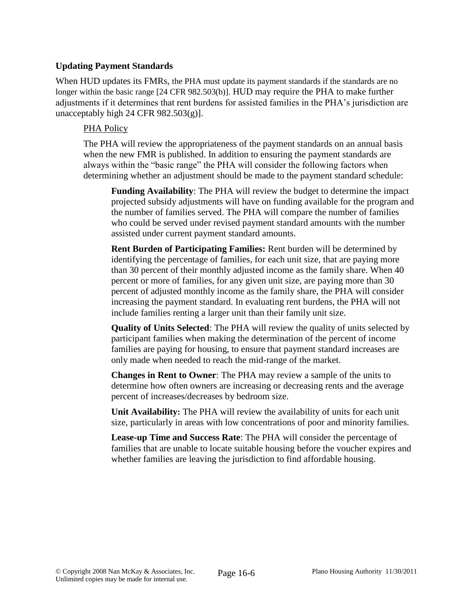## **Updating Payment Standards**

When HUD updates its FMRs, the PHA must update its payment standards if the standards are no longer within the basic range [24 CFR 982.503(b)]. HUD may require the PHA to make further adjustments if it determines that rent burdens for assisted families in the PHA's jurisdiction are unacceptably high 24 CFR  $982.503(g)$ ].

### PHA Policy

The PHA will review the appropriateness of the payment standards on an annual basis when the new FMR is published. In addition to ensuring the payment standards are always within the "basic range" the PHA will consider the following factors when determining whether an adjustment should be made to the payment standard schedule:

**Funding Availability**: The PHA will review the budget to determine the impact projected subsidy adjustments will have on funding available for the program and the number of families served. The PHA will compare the number of families who could be served under revised payment standard amounts with the number assisted under current payment standard amounts.

**Rent Burden of Participating Families:** Rent burden will be determined by identifying the percentage of families, for each unit size, that are paying more than 30 percent of their monthly adjusted income as the family share. When 40 percent or more of families, for any given unit size, are paying more than 30 percent of adjusted monthly income as the family share, the PHA will consider increasing the payment standard. In evaluating rent burdens, the PHA will not include families renting a larger unit than their family unit size.

**Quality of Units Selected**: The PHA will review the quality of units selected by participant families when making the determination of the percent of income families are paying for housing, to ensure that payment standard increases are only made when needed to reach the mid-range of the market.

**Changes in Rent to Owner**: The PHA may review a sample of the units to determine how often owners are increasing or decreasing rents and the average percent of increases/decreases by bedroom size.

**Unit Availability:** The PHA will review the availability of units for each unit size, particularly in areas with low concentrations of poor and minority families.

**Lease-up Time and Success Rate**: The PHA will consider the percentage of families that are unable to locate suitable housing before the voucher expires and whether families are leaving the jurisdiction to find affordable housing.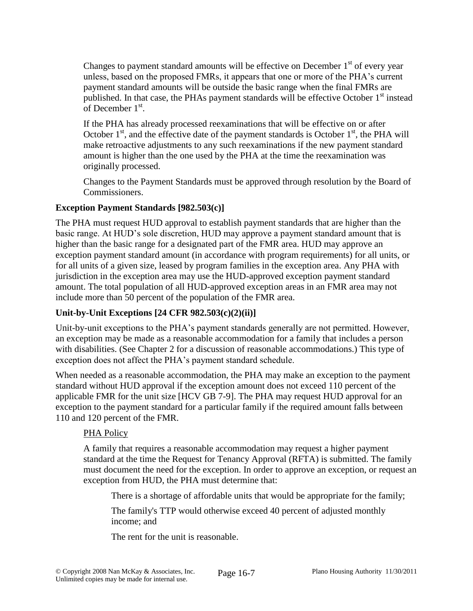Changes to payment standard amounts will be effective on December 1<sup>st</sup> of every year unless, based on the proposed FMRs, it appears that one or more of the PHA's current payment standard amounts will be outside the basic range when the final FMRs are published. In that case, the PHAs payment standards will be effective October  $1<sup>st</sup>$  instead of December  $1<sup>st</sup>$ .

If the PHA has already processed reexaminations that will be effective on or after October  $1<sup>st</sup>$ , and the effective date of the payment standards is October  $1<sup>st</sup>$ , the PHA will make retroactive adjustments to any such reexaminations if the new payment standard amount is higher than the one used by the PHA at the time the reexamination was originally processed.

Changes to the Payment Standards must be approved through resolution by the Board of Commissioners.

## **Exception Payment Standards [982.503(c)]**

The PHA must request HUD approval to establish payment standards that are higher than the basic range. At HUD's sole discretion, HUD may approve a payment standard amount that is higher than the basic range for a designated part of the FMR area. HUD may approve an exception payment standard amount (in accordance with program requirements) for all units, or for all units of a given size, leased by program families in the exception area. Any PHA with jurisdiction in the exception area may use the HUD-approved exception payment standard amount. The total population of all HUD-approved exception areas in an FMR area may not include more than 50 percent of the population of the FMR area.

# **Unit-by-Unit Exceptions [24 CFR 982.503(c)(2)(ii)]**

Unit-by-unit exceptions to the PHA's payment standards generally are not permitted. However, an exception may be made as a reasonable accommodation for a family that includes a person with disabilities. (See Chapter 2 for a discussion of reasonable accommodations.) This type of exception does not affect the PHA's payment standard schedule.

When needed as a reasonable accommodation, the PHA may make an exception to the payment standard without HUD approval if the exception amount does not exceed 110 percent of the applicable FMR for the unit size [HCV GB 7-9]. The PHA may request HUD approval for an exception to the payment standard for a particular family if the required amount falls between 110 and 120 percent of the FMR.

## PHA Policy

A family that requires a reasonable accommodation may request a higher payment standard at the time the Request for Tenancy Approval (RFTA) is submitted. The family must document the need for the exception. In order to approve an exception, or request an exception from HUD, the PHA must determine that:

There is a shortage of affordable units that would be appropriate for the family;

The family's TTP would otherwise exceed 40 percent of adjusted monthly income; and

The rent for the unit is reasonable.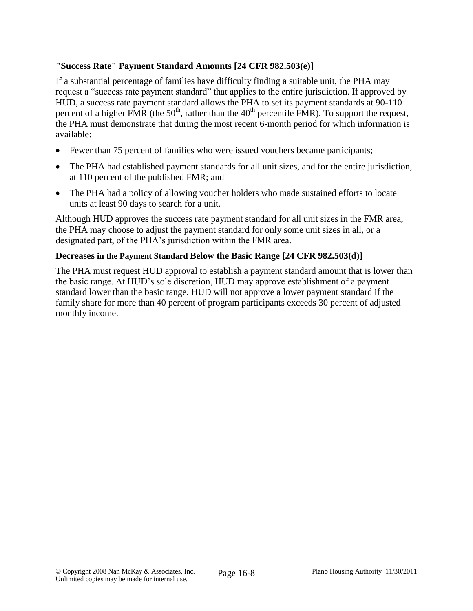# **"Success Rate" Payment Standard Amounts [24 CFR 982.503(e)]**

If a substantial percentage of families have difficulty finding a suitable unit, the PHA may request a "success rate payment standard" that applies to the entire jurisdiction. If approved by HUD, a success rate payment standard allows the PHA to set its payment standards at 90-110 percent of a higher FMR (the  $50<sup>th</sup>$ , rather than the  $40<sup>th</sup>$  percentile FMR). To support the request, the PHA must demonstrate that during the most recent 6-month period for which information is available:

- Fewer than 75 percent of families who were issued vouchers became participants;
- The PHA had established payment standards for all unit sizes, and for the entire jurisdiction, at 110 percent of the published FMR; and
- The PHA had a policy of allowing voucher holders who made sustained efforts to locate units at least 90 days to search for a unit.

Although HUD approves the success rate payment standard for all unit sizes in the FMR area, the PHA may choose to adjust the payment standard for only some unit sizes in all, or a designated part, of the PHA's jurisdiction within the FMR area.

## **Decreases in the Payment Standard Below the Basic Range [24 CFR 982.503(d)]**

The PHA must request HUD approval to establish a payment standard amount that is lower than the basic range. At HUD's sole discretion, HUD may approve establishment of a payment standard lower than the basic range. HUD will not approve a lower payment standard if the family share for more than 40 percent of program participants exceeds 30 percent of adjusted monthly income.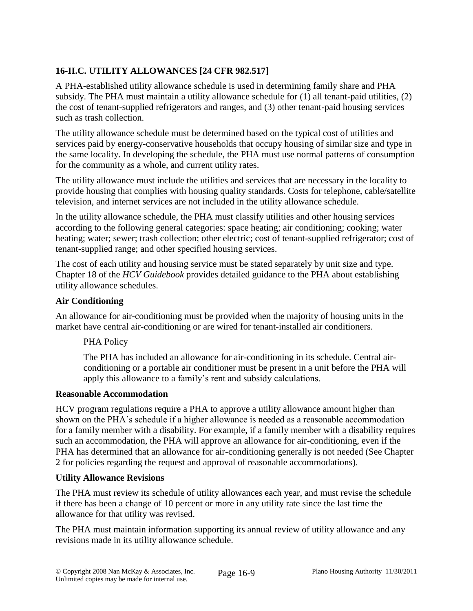# **16-II.C. UTILITY ALLOWANCES [24 CFR 982.517]**

A PHA-established utility allowance schedule is used in determining family share and PHA subsidy. The PHA must maintain a utility allowance schedule for (1) all tenant-paid utilities, (2) the cost of tenant-supplied refrigerators and ranges, and (3) other tenant-paid housing services such as trash collection.

The utility allowance schedule must be determined based on the typical cost of utilities and services paid by energy-conservative households that occupy housing of similar size and type in the same locality. In developing the schedule, the PHA must use normal patterns of consumption for the community as a whole, and current utility rates.

The utility allowance must include the utilities and services that are necessary in the locality to provide housing that complies with housing quality standards. Costs for telephone, cable/satellite television, and internet services are not included in the utility allowance schedule.

In the utility allowance schedule, the PHA must classify utilities and other housing services according to the following general categories: space heating; air conditioning; cooking; water heating; water; sewer; trash collection; other electric; cost of tenant-supplied refrigerator; cost of tenant-supplied range; and other specified housing services.

The cost of each utility and housing service must be stated separately by unit size and type. Chapter 18 of the *HCV Guidebook* provides detailed guidance to the PHA about establishing utility allowance schedules.

# **Air Conditioning**

An allowance for air-conditioning must be provided when the majority of housing units in the market have central air-conditioning or are wired for tenant-installed air conditioners.

## PHA Policy

The PHA has included an allowance for air-conditioning in its schedule. Central airconditioning or a portable air conditioner must be present in a unit before the PHA will apply this allowance to a family's rent and subsidy calculations.

## **Reasonable Accommodation**

HCV program regulations require a PHA to approve a utility allowance amount higher than shown on the PHA's schedule if a higher allowance is needed as a reasonable accommodation for a family member with a disability. For example, if a family member with a disability requires such an accommodation, the PHA will approve an allowance for air-conditioning, even if the PHA has determined that an allowance for air-conditioning generally is not needed (See Chapter 2 for policies regarding the request and approval of reasonable accommodations).

## **Utility Allowance Revisions**

The PHA must review its schedule of utility allowances each year, and must revise the schedule if there has been a change of 10 percent or more in any utility rate since the last time the allowance for that utility was revised.

The PHA must maintain information supporting its annual review of utility allowance and any revisions made in its utility allowance schedule.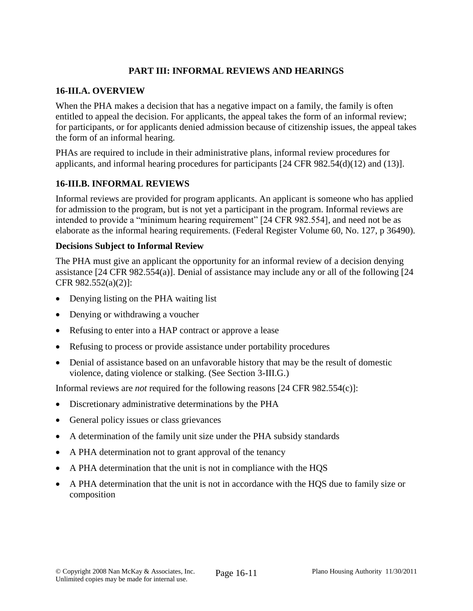# **PART III: INFORMAL REVIEWS AND HEARINGS**

### **16-III.A. OVERVIEW**

When the PHA makes a decision that has a negative impact on a family, the family is often entitled to appeal the decision. For applicants, the appeal takes the form of an informal review; for participants, or for applicants denied admission because of citizenship issues, the appeal takes the form of an informal hearing.

PHAs are required to include in their administrative plans, informal review procedures for applicants, and informal hearing procedures for participants [24 CFR 982.54(d)(12) and (13)].

## **16-III.B. INFORMAL REVIEWS**

Informal reviews are provided for program applicants. An applicant is someone who has applied for admission to the program, but is not yet a participant in the program. Informal reviews are intended to provide a "minimum hearing requirement" [24 CFR 982.554], and need not be as elaborate as the informal hearing requirements. (Federal Register Volume 60, No. 127, p 36490).

### **Decisions Subject to Informal Review**

The PHA must give an applicant the opportunity for an informal review of a decision denying assistance [24 CFR 982.554(a)]. Denial of assistance may include any or all of the following [24 CFR 982.552(a)(2)]:

- Denying listing on the PHA waiting list
- Denying or withdrawing a voucher
- Refusing to enter into a HAP contract or approve a lease
- Refusing to process or provide assistance under portability procedures
- Denial of assistance based on an unfavorable history that may be the result of domestic violence, dating violence or stalking. (See Section 3-III.G.)

Informal reviews are *not* required for the following reasons [24 CFR 982.554(c)]:

- Discretionary administrative determinations by the PHA
- General policy issues or class grievances
- A determination of the family unit size under the PHA subsidy standards
- A PHA determination not to grant approval of the tenancy
- A PHA determination that the unit is not in compliance with the HQS
- A PHA determination that the unit is not in accordance with the HQS due to family size or composition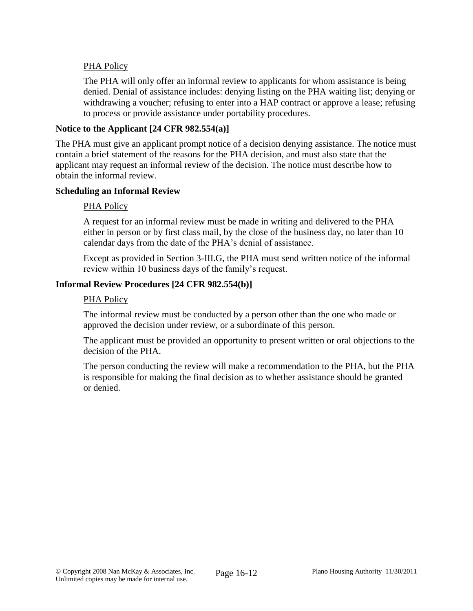## PHA Policy

The PHA will only offer an informal review to applicants for whom assistance is being denied. Denial of assistance includes: denying listing on the PHA waiting list; denying or withdrawing a voucher; refusing to enter into a HAP contract or approve a lease; refusing to process or provide assistance under portability procedures.

### **Notice to the Applicant [24 CFR 982.554(a)]**

The PHA must give an applicant prompt notice of a decision denying assistance. The notice must contain a brief statement of the reasons for the PHA decision, and must also state that the applicant may request an informal review of the decision. The notice must describe how to obtain the informal review.

#### **Scheduling an Informal Review**

#### PHA Policy

A request for an informal review must be made in writing and delivered to the PHA either in person or by first class mail, by the close of the business day, no later than 10 calendar days from the date of the PHA's denial of assistance.

Except as provided in Section 3-III.G, the PHA must send written notice of the informal review within 10 business days of the family's request.

### **Informal Review Procedures [24 CFR 982.554(b)]**

#### PHA Policy

The informal review must be conducted by a person other than the one who made or approved the decision under review, or a subordinate of this person.

The applicant must be provided an opportunity to present written or oral objections to the decision of the PHA.

The person conducting the review will make a recommendation to the PHA, but the PHA is responsible for making the final decision as to whether assistance should be granted or denied.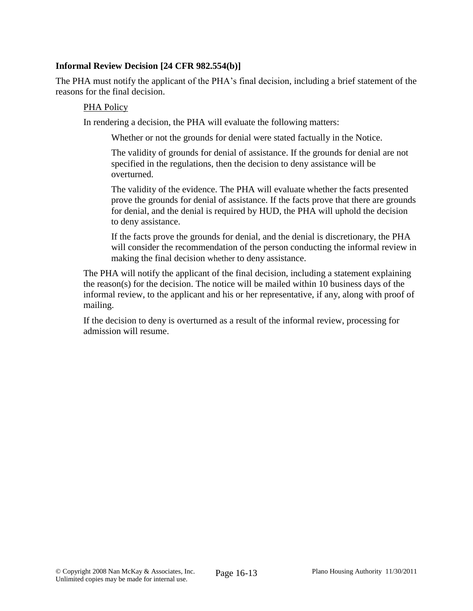### **Informal Review Decision [24 CFR 982.554(b)]**

The PHA must notify the applicant of the PHA's final decision, including a brief statement of the reasons for the final decision.

#### PHA Policy

In rendering a decision, the PHA will evaluate the following matters:

Whether or not the grounds for denial were stated factually in the Notice.

The validity of grounds for denial of assistance. If the grounds for denial are not specified in the regulations, then the decision to deny assistance will be overturned.

The validity of the evidence. The PHA will evaluate whether the facts presented prove the grounds for denial of assistance. If the facts prove that there are grounds for denial, and the denial is required by HUD, the PHA will uphold the decision to deny assistance.

If the facts prove the grounds for denial, and the denial is discretionary, the PHA will consider the recommendation of the person conducting the informal review in making the final decision whether to deny assistance.

The PHA will notify the applicant of the final decision, including a statement explaining the reason(s) for the decision. The notice will be mailed within 10 business days of the informal review, to the applicant and his or her representative, if any, along with proof of mailing.

If the decision to deny is overturned as a result of the informal review, processing for admission will resume.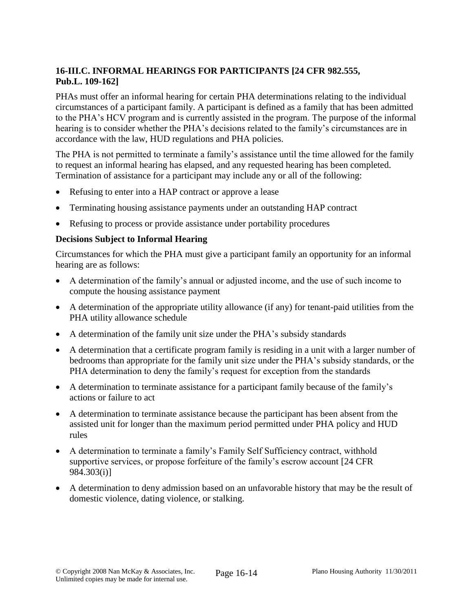# **16-III.C. INFORMAL HEARINGS FOR PARTICIPANTS [24 CFR 982.555, Pub.L. 109-162]**

PHAs must offer an informal hearing for certain PHA determinations relating to the individual circumstances of a participant family. A participant is defined as a family that has been admitted to the PHA's HCV program and is currently assisted in the program. The purpose of the informal hearing is to consider whether the PHA's decisions related to the family's circumstances are in accordance with the law, HUD regulations and PHA policies.

The PHA is not permitted to terminate a family's assistance until the time allowed for the family to request an informal hearing has elapsed, and any requested hearing has been completed. Termination of assistance for a participant may include any or all of the following:

- Refusing to enter into a HAP contract or approve a lease
- Terminating housing assistance payments under an outstanding HAP contract
- Refusing to process or provide assistance under portability procedures

### **Decisions Subject to Informal Hearing**

Circumstances for which the PHA must give a participant family an opportunity for an informal hearing are as follows:

- A determination of the family's annual or adjusted income, and the use of such income to compute the housing assistance payment
- A determination of the appropriate utility allowance (if any) for tenant-paid utilities from the PHA utility allowance schedule
- A determination of the family unit size under the PHA's subsidy standards
- A determination that a certificate program family is residing in a unit with a larger number of bedrooms than appropriate for the family unit size under the PHA's subsidy standards, or the PHA determination to deny the family's request for exception from the standards
- A determination to terminate assistance for a participant family because of the family's actions or failure to act
- A determination to terminate assistance because the participant has been absent from the assisted unit for longer than the maximum period permitted under PHA policy and HUD rules
- A determination to terminate a family's Family Self Sufficiency contract, withhold supportive services, or propose forfeiture of the family's escrow account [24 CFR 984.303(i)]
- A determination to deny admission based on an unfavorable history that may be the result of domestic violence, dating violence, or stalking.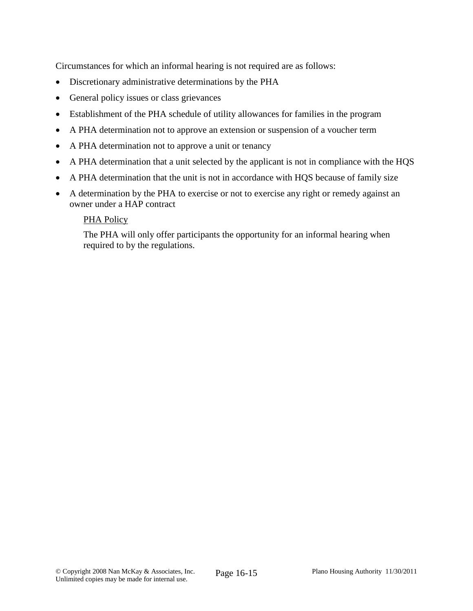Circumstances for which an informal hearing is not required are as follows:

- Discretionary administrative determinations by the PHA
- General policy issues or class grievances
- Establishment of the PHA schedule of utility allowances for families in the program
- A PHA determination not to approve an extension or suspension of a voucher term
- A PHA determination not to approve a unit or tenancy
- A PHA determination that a unit selected by the applicant is not in compliance with the HQS
- A PHA determination that the unit is not in accordance with HQS because of family size
- A determination by the PHA to exercise or not to exercise any right or remedy against an owner under a HAP contract

## PHA Policy

The PHA will only offer participants the opportunity for an informal hearing when required to by the regulations.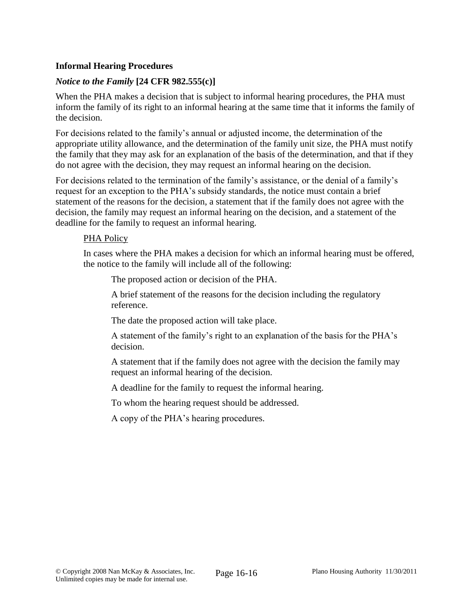## **Informal Hearing Procedures**

### *Notice to the Family* **[24 CFR 982.555(c)]**

When the PHA makes a decision that is subject to informal hearing procedures, the PHA must inform the family of its right to an informal hearing at the same time that it informs the family of the decision.

For decisions related to the family's annual or adjusted income, the determination of the appropriate utility allowance, and the determination of the family unit size, the PHA must notify the family that they may ask for an explanation of the basis of the determination, and that if they do not agree with the decision, they may request an informal hearing on the decision.

For decisions related to the termination of the family's assistance, or the denial of a family's request for an exception to the PHA's subsidy standards, the notice must contain a brief statement of the reasons for the decision, a statement that if the family does not agree with the decision, the family may request an informal hearing on the decision, and a statement of the deadline for the family to request an informal hearing.

#### PHA Policy

In cases where the PHA makes a decision for which an informal hearing must be offered, the notice to the family will include all of the following:

The proposed action or decision of the PHA.

A brief statement of the reasons for the decision including the regulatory reference.

The date the proposed action will take place.

A statement of the family's right to an explanation of the basis for the PHA's decision.

A statement that if the family does not agree with the decision the family may request an informal hearing of the decision.

A deadline for the family to request the informal hearing.

To whom the hearing request should be addressed.

A copy of the PHA's hearing procedures.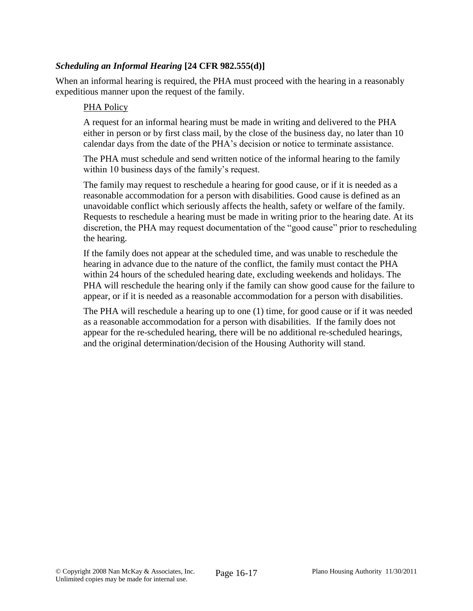### *Scheduling an Informal Hearing* **[24 CFR 982.555(d)]**

When an informal hearing is required, the PHA must proceed with the hearing in a reasonably expeditious manner upon the request of the family.

#### PHA Policy

A request for an informal hearing must be made in writing and delivered to the PHA either in person or by first class mail, by the close of the business day, no later than 10 calendar days from the date of the PHA's decision or notice to terminate assistance.

The PHA must schedule and send written notice of the informal hearing to the family within 10 business days of the family's request.

The family may request to reschedule a hearing for good cause, or if it is needed as a reasonable accommodation for a person with disabilities. Good cause is defined as an unavoidable conflict which seriously affects the health, safety or welfare of the family. Requests to reschedule a hearing must be made in writing prior to the hearing date. At its discretion, the PHA may request documentation of the "good cause" prior to rescheduling the hearing.

If the family does not appear at the scheduled time, and was unable to reschedule the hearing in advance due to the nature of the conflict, the family must contact the PHA within 24 hours of the scheduled hearing date, excluding weekends and holidays. The PHA will reschedule the hearing only if the family can show good cause for the failure to appear, or if it is needed as a reasonable accommodation for a person with disabilities.

The PHA will reschedule a hearing up to one (1) time, for good cause or if it was needed as a reasonable accommodation for a person with disabilities. If the family does not appear for the re-scheduled hearing, there will be no additional re-scheduled hearings, and the original determination/decision of the Housing Authority will stand.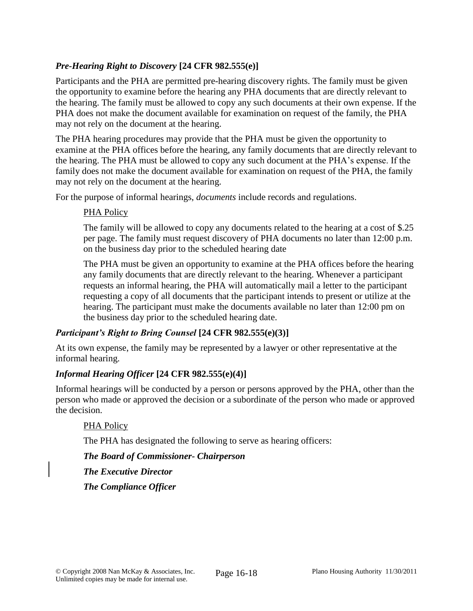# *Pre-Hearing Right to Discovery* **[24 CFR 982.555(e)]**

Participants and the PHA are permitted pre-hearing discovery rights. The family must be given the opportunity to examine before the hearing any PHA documents that are directly relevant to the hearing. The family must be allowed to copy any such documents at their own expense. If the PHA does not make the document available for examination on request of the family, the PHA may not rely on the document at the hearing.

The PHA hearing procedures may provide that the PHA must be given the opportunity to examine at the PHA offices before the hearing, any family documents that are directly relevant to the hearing. The PHA must be allowed to copy any such document at the PHA's expense. If the family does not make the document available for examination on request of the PHA, the family may not rely on the document at the hearing.

For the purpose of informal hearings, *documents* include records and regulations.

## PHA Policy

The family will be allowed to copy any documents related to the hearing at a cost of \$.25 per page. The family must request discovery of PHA documents no later than 12:00 p.m. on the business day prior to the scheduled hearing date

The PHA must be given an opportunity to examine at the PHA offices before the hearing any family documents that are directly relevant to the hearing. Whenever a participant requests an informal hearing, the PHA will automatically mail a letter to the participant requesting a copy of all documents that the participant intends to present or utilize at the hearing. The participant must make the documents available no later than 12:00 pm on the business day prior to the scheduled hearing date.

## *Participant's Right to Bring Counsel* **[24 CFR 982.555(e)(3)]**

At its own expense, the family may be represented by a lawyer or other representative at the informal hearing.

## *Informal Hearing Officer* **[24 CFR 982.555(e)(4)]**

Informal hearings will be conducted by a person or persons approved by the PHA, other than the person who made or approved the decision or a subordinate of the person who made or approved the decision.

#### PHA Policy

The PHA has designated the following to serve as hearing officers:

#### *The Board of Commissioner- Chairperson*

*The Executive Director*

## *The Compliance Officer*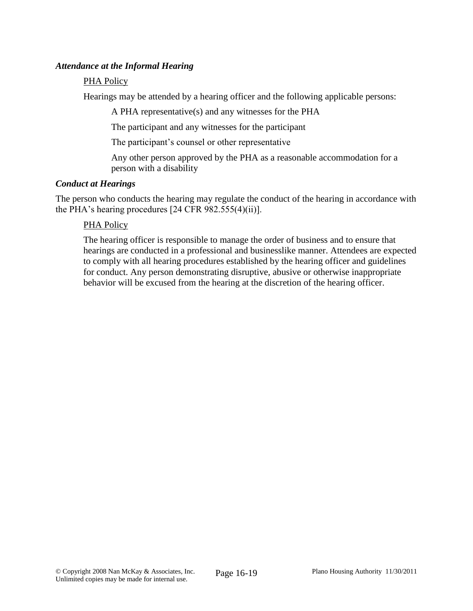### *Attendance at the Informal Hearing*

### PHA Policy

Hearings may be attended by a hearing officer and the following applicable persons:

A PHA representative(s) and any witnesses for the PHA

The participant and any witnesses for the participant

The participant's counsel or other representative

Any other person approved by the PHA as a reasonable accommodation for a person with a disability

### *Conduct at Hearings*

The person who conducts the hearing may regulate the conduct of the hearing in accordance with the PHA's hearing procedures [24 CFR 982.555(4)(ii)].

## PHA Policy

The hearing officer is responsible to manage the order of business and to ensure that hearings are conducted in a professional and businesslike manner. Attendees are expected to comply with all hearing procedures established by the hearing officer and guidelines for conduct. Any person demonstrating disruptive, abusive or otherwise inappropriate behavior will be excused from the hearing at the discretion of the hearing officer.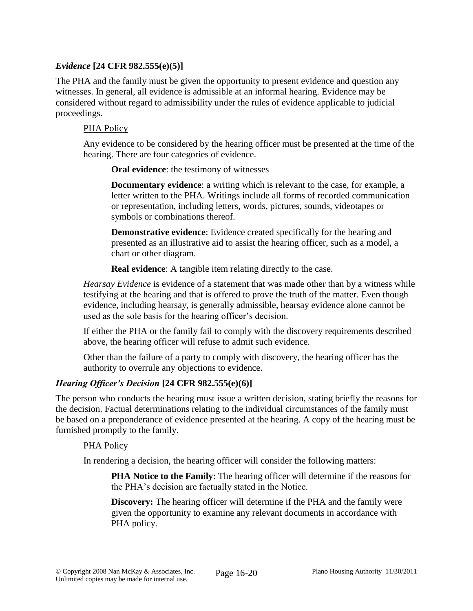### *Evidence* **[24 CFR 982.555(e)(5)]**

The PHA and the family must be given the opportunity to present evidence and question any witnesses. In general, all evidence is admissible at an informal hearing. Evidence may be considered without regard to admissibility under the rules of evidence applicable to judicial proceedings.

### PHA Policy

Any evidence to be considered by the hearing officer must be presented at the time of the hearing. There are four categories of evidence.

**Oral evidence**: the testimony of witnesses

**Documentary evidence**: a writing which is relevant to the case, for example, a letter written to the PHA. Writings include all forms of recorded communication or representation, including letters, words, pictures, sounds, videotapes or symbols or combinations thereof.

**Demonstrative evidence**: Evidence created specifically for the hearing and presented as an illustrative aid to assist the hearing officer, such as a model, a chart or other diagram.

**Real evidence**: A tangible item relating directly to the case.

*Hearsay Evidence* is evidence of a statement that was made other than by a witness while testifying at the hearing and that is offered to prove the truth of the matter. Even though evidence, including hearsay, is generally admissible, hearsay evidence alone cannot be used as the sole basis for the hearing officer's decision.

If either the PHA or the family fail to comply with the discovery requirements described above, the hearing officer will refuse to admit such evidence.

Other than the failure of a party to comply with discovery, the hearing officer has the authority to overrule any objections to evidence.

## *Hearing Officer's Decision* **[24 CFR 982.555(e)(6)]**

The person who conducts the hearing must issue a written decision, stating briefly the reasons for the decision. Factual determinations relating to the individual circumstances of the family must be based on a preponderance of evidence presented at the hearing. A copy of the hearing must be furnished promptly to the family.

#### PHA Policy

In rendering a decision, the hearing officer will consider the following matters:

**PHA Notice to the Family**: The hearing officer will determine if the reasons for the PHA's decision are factually stated in the Notice.

**Discovery:** The hearing officer will determine if the PHA and the family were given the opportunity to examine any relevant documents in accordance with PHA policy.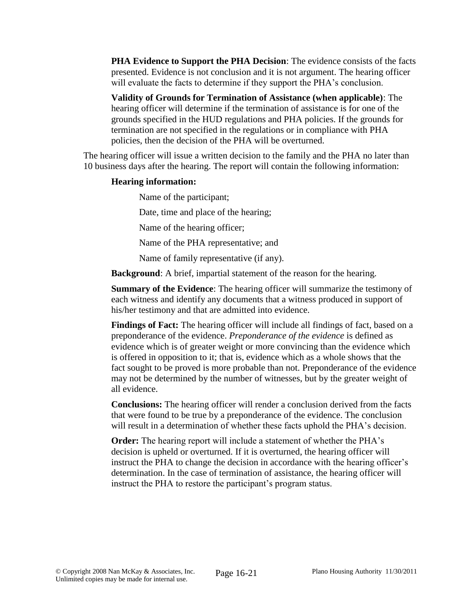**PHA Evidence to Support the PHA Decision**: The evidence consists of the facts presented. Evidence is not conclusion and it is not argument. The hearing officer will evaluate the facts to determine if they support the PHA's conclusion.

**Validity of Grounds for Termination of Assistance (when applicable)**: The hearing officer will determine if the termination of assistance is for one of the grounds specified in the HUD regulations and PHA policies. If the grounds for termination are not specified in the regulations or in compliance with PHA policies, then the decision of the PHA will be overturned.

The hearing officer will issue a written decision to the family and the PHA no later than 10 business days after the hearing. The report will contain the following information:

### **Hearing information:**

Name of the participant;

Date, time and place of the hearing;

Name of the hearing officer;

Name of the PHA representative; and

Name of family representative (if any).

**Background**: A brief, impartial statement of the reason for the hearing.

**Summary of the Evidence**: The hearing officer will summarize the testimony of each witness and identify any documents that a witness produced in support of his/her testimony and that are admitted into evidence.

**Findings of Fact:** The hearing officer will include all findings of fact, based on a preponderance of the evidence. *Preponderance of the evidence* is defined as evidence which is of greater weight or more convincing than the evidence which is offered in opposition to it; that is, evidence which as a whole shows that the fact sought to be proved is more probable than not. Preponderance of the evidence may not be determined by the number of witnesses, but by the greater weight of all evidence.

**Conclusions:** The hearing officer will render a conclusion derived from the facts that were found to be true by a preponderance of the evidence. The conclusion will result in a determination of whether these facts uphold the PHA's decision.

**Order:** The hearing report will include a statement of whether the PHA's decision is upheld or overturned. If it is overturned, the hearing officer will instruct the PHA to change the decision in accordance with the hearing officer's determination. In the case of termination of assistance, the hearing officer will instruct the PHA to restore the participant's program status.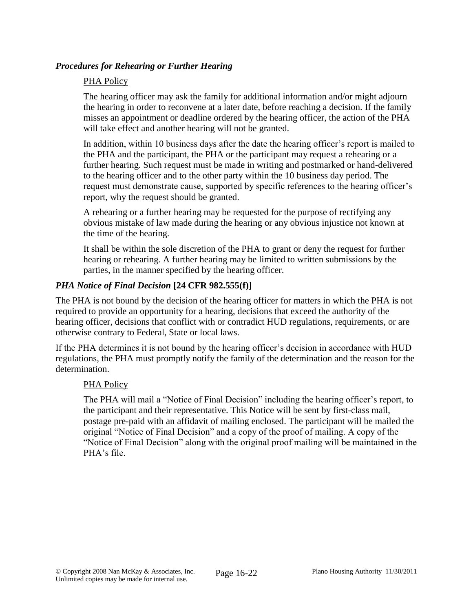## *Procedures for Rehearing or Further Hearing*

### PHA Policy

The hearing officer may ask the family for additional information and/or might adjourn the hearing in order to reconvene at a later date, before reaching a decision. If the family misses an appointment or deadline ordered by the hearing officer, the action of the PHA will take effect and another hearing will not be granted.

In addition, within 10 business days after the date the hearing officer's report is mailed to the PHA and the participant, the PHA or the participant may request a rehearing or a further hearing. Such request must be made in writing and postmarked or hand-delivered to the hearing officer and to the other party within the 10 business day period. The request must demonstrate cause, supported by specific references to the hearing officer's report, why the request should be granted.

A rehearing or a further hearing may be requested for the purpose of rectifying any obvious mistake of law made during the hearing or any obvious injustice not known at the time of the hearing.

It shall be within the sole discretion of the PHA to grant or deny the request for further hearing or rehearing. A further hearing may be limited to written submissions by the parties, in the manner specified by the hearing officer.

### *PHA Notice of Final Decision* **[24 CFR 982.555(f)]**

The PHA is not bound by the decision of the hearing officer for matters in which the PHA is not required to provide an opportunity for a hearing, decisions that exceed the authority of the hearing officer, decisions that conflict with or contradict HUD regulations, requirements, or are otherwise contrary to Federal, State or local laws.

If the PHA determines it is not bound by the hearing officer's decision in accordance with HUD regulations, the PHA must promptly notify the family of the determination and the reason for the determination.

#### PHA Policy

The PHA will mail a "Notice of Final Decision" including the hearing officer's report, to the participant and their representative. This Notice will be sent by first-class mail, postage pre-paid with an affidavit of mailing enclosed. The participant will be mailed the original "Notice of Final Decision" and a copy of the proof of mailing. A copy of the "Notice of Final Decision" along with the original proof mailing will be maintained in the PHA's file.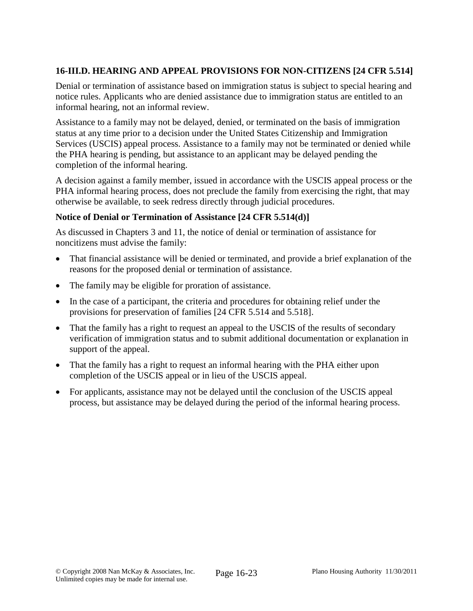# **16-III.D. HEARING AND APPEAL PROVISIONS FOR NON-CITIZENS [24 CFR 5.514]**

Denial or termination of assistance based on immigration status is subject to special hearing and notice rules. Applicants who are denied assistance due to immigration status are entitled to an informal hearing, not an informal review.

Assistance to a family may not be delayed, denied, or terminated on the basis of immigration status at any time prior to a decision under the United States Citizenship and Immigration Services (USCIS) appeal process. Assistance to a family may not be terminated or denied while the PHA hearing is pending, but assistance to an applicant may be delayed pending the completion of the informal hearing.

A decision against a family member, issued in accordance with the USCIS appeal process or the PHA informal hearing process, does not preclude the family from exercising the right, that may otherwise be available, to seek redress directly through judicial procedures.

## **Notice of Denial or Termination of Assistance [24 CFR 5.514(d)]**

As discussed in Chapters 3 and 11, the notice of denial or termination of assistance for noncitizens must advise the family:

- That financial assistance will be denied or terminated, and provide a brief explanation of the reasons for the proposed denial or termination of assistance.
- The family may be eligible for proration of assistance.
- In the case of a participant, the criteria and procedures for obtaining relief under the provisions for preservation of families [24 CFR 5.514 and 5.518].
- That the family has a right to request an appeal to the USCIS of the results of secondary verification of immigration status and to submit additional documentation or explanation in support of the appeal.
- That the family has a right to request an informal hearing with the PHA either upon completion of the USCIS appeal or in lieu of the USCIS appeal.
- For applicants, assistance may not be delayed until the conclusion of the USCIS appeal process, but assistance may be delayed during the period of the informal hearing process.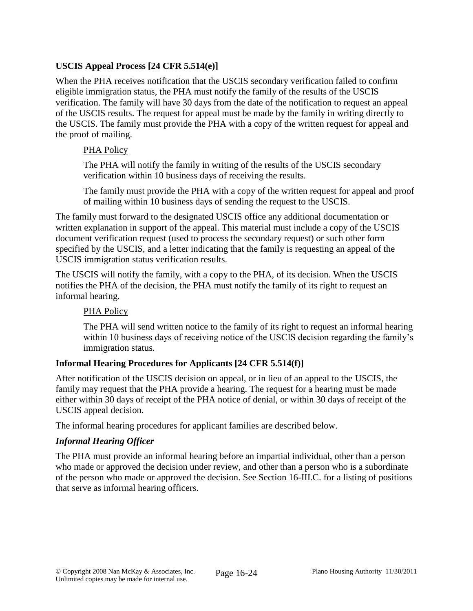# **USCIS Appeal Process [24 CFR 5.514(e)]**

When the PHA receives notification that the USCIS secondary verification failed to confirm eligible immigration status, the PHA must notify the family of the results of the USCIS verification. The family will have 30 days from the date of the notification to request an appeal of the USCIS results. The request for appeal must be made by the family in writing directly to the USCIS. The family must provide the PHA with a copy of the written request for appeal and the proof of mailing.

## PHA Policy

The PHA will notify the family in writing of the results of the USCIS secondary verification within 10 business days of receiving the results.

The family must provide the PHA with a copy of the written request for appeal and proof of mailing within 10 business days of sending the request to the USCIS.

The family must forward to the designated USCIS office any additional documentation or written explanation in support of the appeal. This material must include a copy of the USCIS document verification request (used to process the secondary request) or such other form specified by the USCIS, and a letter indicating that the family is requesting an appeal of the USCIS immigration status verification results.

The USCIS will notify the family, with a copy to the PHA, of its decision. When the USCIS notifies the PHA of the decision, the PHA must notify the family of its right to request an informal hearing.

# PHA Policy

The PHA will send written notice to the family of its right to request an informal hearing within 10 business days of receiving notice of the USCIS decision regarding the family's immigration status.

# **Informal Hearing Procedures for Applicants [24 CFR 5.514(f)]**

After notification of the USCIS decision on appeal, or in lieu of an appeal to the USCIS, the family may request that the PHA provide a hearing. The request for a hearing must be made either within 30 days of receipt of the PHA notice of denial, or within 30 days of receipt of the USCIS appeal decision.

The informal hearing procedures for applicant families are described below.

## *Informal Hearing Officer*

The PHA must provide an informal hearing before an impartial individual, other than a person who made or approved the decision under review, and other than a person who is a subordinate of the person who made or approved the decision. See Section 16-III.C. for a listing of positions that serve as informal hearing officers.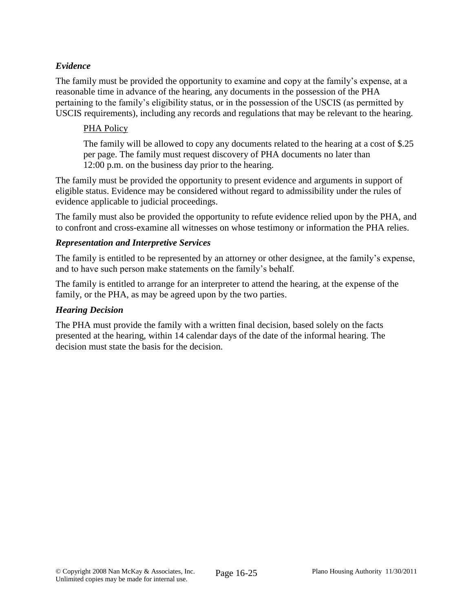## *Evidence*

The family must be provided the opportunity to examine and copy at the family's expense, at a reasonable time in advance of the hearing, any documents in the possession of the PHA pertaining to the family's eligibility status, or in the possession of the USCIS (as permitted by USCIS requirements), including any records and regulations that may be relevant to the hearing.

## PHA Policy

The family will be allowed to copy any documents related to the hearing at a cost of \$.25 per page. The family must request discovery of PHA documents no later than 12:00 p.m. on the business day prior to the hearing.

The family must be provided the opportunity to present evidence and arguments in support of eligible status. Evidence may be considered without regard to admissibility under the rules of evidence applicable to judicial proceedings.

The family must also be provided the opportunity to refute evidence relied upon by the PHA, and to confront and cross-examine all witnesses on whose testimony or information the PHA relies.

## *Representation and Interpretive Services*

The family is entitled to be represented by an attorney or other designee, at the family's expense, and to have such person make statements on the family's behalf.

The family is entitled to arrange for an interpreter to attend the hearing, at the expense of the family, or the PHA, as may be agreed upon by the two parties.

### *Hearing Decision*

The PHA must provide the family with a written final decision, based solely on the facts presented at the hearing, within 14 calendar days of the date of the informal hearing. The decision must state the basis for the decision.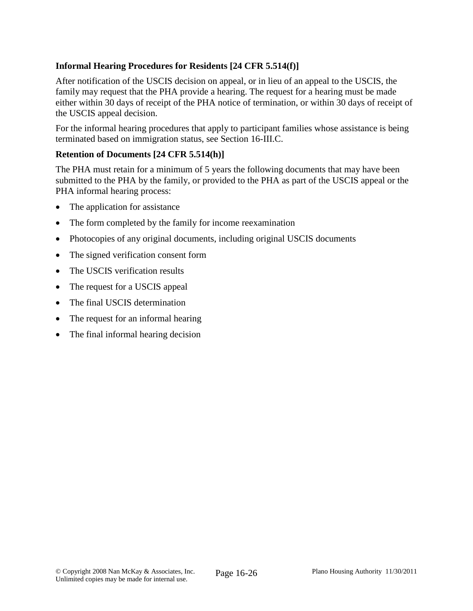# **Informal Hearing Procedures for Residents [24 CFR 5.514(f)]**

After notification of the USCIS decision on appeal, or in lieu of an appeal to the USCIS, the family may request that the PHA provide a hearing. The request for a hearing must be made either within 30 days of receipt of the PHA notice of termination, or within 30 days of receipt of the USCIS appeal decision.

For the informal hearing procedures that apply to participant families whose assistance is being terminated based on immigration status, see Section 16-III.C.

#### **Retention of Documents [24 CFR 5.514(h)]**

The PHA must retain for a minimum of 5 years the following documents that may have been submitted to the PHA by the family, or provided to the PHA as part of the USCIS appeal or the PHA informal hearing process:

- The application for assistance
- The form completed by the family for income reexamination
- Photocopies of any original documents, including original USCIS documents
- The signed verification consent form
- The USCIS verification results
- The request for a USCIS appeal
- The final USCIS determination
- The request for an informal hearing
- The final informal hearing decision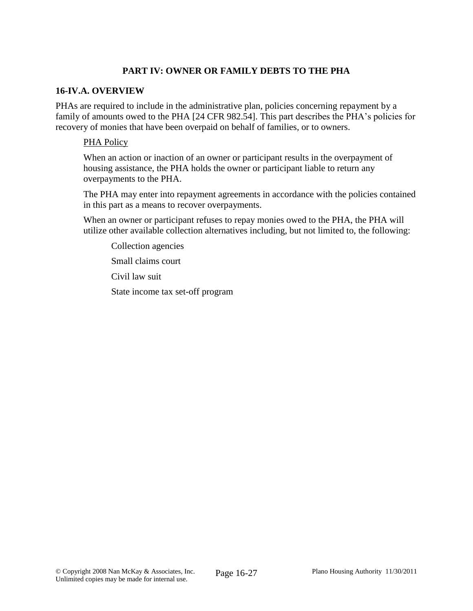## **PART IV: OWNER OR FAMILY DEBTS TO THE PHA**

### **16-IV.A. OVERVIEW**

PHAs are required to include in the administrative plan, policies concerning repayment by a family of amounts owed to the PHA [24 CFR 982.54]. This part describes the PHA's policies for recovery of monies that have been overpaid on behalf of families, or to owners.

### PHA Policy

When an action or inaction of an owner or participant results in the overpayment of housing assistance, the PHA holds the owner or participant liable to return any overpayments to the PHA.

The PHA may enter into repayment agreements in accordance with the policies contained in this part as a means to recover overpayments.

When an owner or participant refuses to repay monies owed to the PHA, the PHA will utilize other available collection alternatives including, but not limited to, the following:

Collection agencies

Small claims court

Civil law suit

State income tax set-off program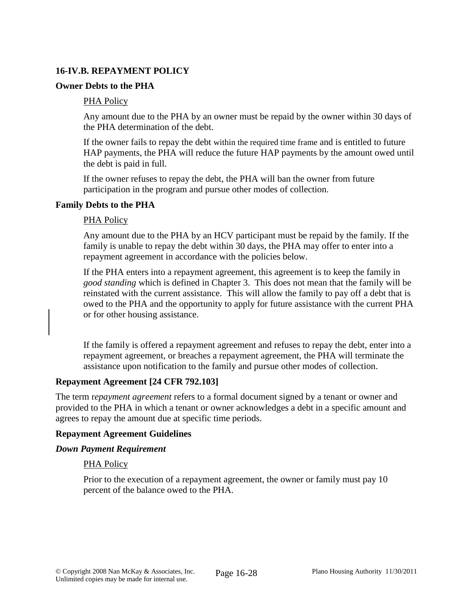## **16-IV.B. REPAYMENT POLICY**

### **Owner Debts to the PHA**

### PHA Policy

Any amount due to the PHA by an owner must be repaid by the owner within 30 days of the PHA determination of the debt.

If the owner fails to repay the debt within the required time frame and is entitled to future HAP payments, the PHA will reduce the future HAP payments by the amount owed until the debt is paid in full.

If the owner refuses to repay the debt, the PHA will ban the owner from future participation in the program and pursue other modes of collection.

#### **Family Debts to the PHA**

#### PHA Policy

Any amount due to the PHA by an HCV participant must be repaid by the family. If the family is unable to repay the debt within 30 days, the PHA may offer to enter into a repayment agreement in accordance with the policies below.

If the PHA enters into a repayment agreement, this agreement is to keep the family in *good standing* which is defined in Chapter 3. This does not mean that the family will be reinstated with the current assistance. This will allow the family to pay off a debt that is owed to the PHA and the opportunity to apply for future assistance with the current PHA or for other housing assistance.

If the family is offered a repayment agreement and refuses to repay the debt, enter into a repayment agreement, or breaches a repayment agreement, the PHA will terminate the assistance upon notification to the family and pursue other modes of collection.

## **Repayment Agreement [24 CFR 792.103]**

The term r*epayment agreement* refers to a formal document signed by a tenant or owner and provided to the PHA in which a tenant or owner acknowledges a debt in a specific amount and agrees to repay the amount due at specific time periods.

#### **Repayment Agreement Guidelines**

## *Down Payment Requirement*

## PHA Policy

Prior to the execution of a repayment agreement, the owner or family must pay 10 percent of the balance owed to the PHA.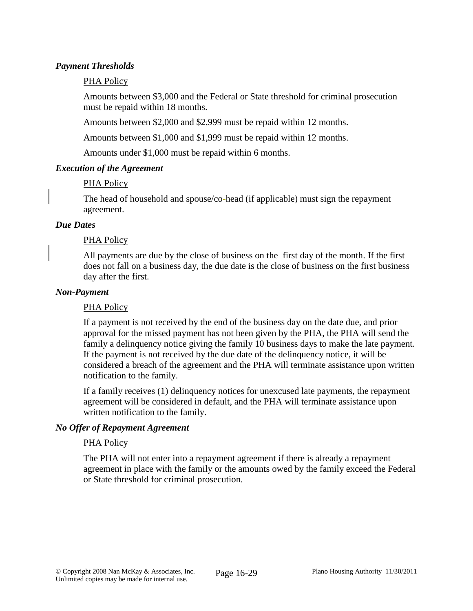### *Payment Thresholds*

### PHA Policy

Amounts between \$3,000 and the Federal or State threshold for criminal prosecution must be repaid within 18 months.

Amounts between \$2,000 and \$2,999 must be repaid within 12 months.

Amounts between \$1,000 and \$1,999 must be repaid within 12 months.

Amounts under \$1,000 must be repaid within 6 months.

### *Execution of the Agreement*

### PHA Policy

The head of household and spouse/co-head (if applicable) must sign the repayment agreement.

#### *Due Dates*

### PHA Policy

All payments are due by the close of business on the first day of the month. If the first does not fall on a business day, the due date is the close of business on the first business day after the first.

#### *Non-Payment*

#### PHA Policy

If a payment is not received by the end of the business day on the date due, and prior approval for the missed payment has not been given by the PHA, the PHA will send the family a delinquency notice giving the family 10 business days to make the late payment. If the payment is not received by the due date of the delinquency notice, it will be considered a breach of the agreement and the PHA will terminate assistance upon written notification to the family.

If a family receives (1) delinquency notices for unexcused late payments, the repayment agreement will be considered in default, and the PHA will terminate assistance upon written notification to the family.

#### *No Offer of Repayment Agreement*

#### PHA Policy

The PHA will not enter into a repayment agreement if there is already a repayment agreement in place with the family or the amounts owed by the family exceed the Federal or State threshold for criminal prosecution.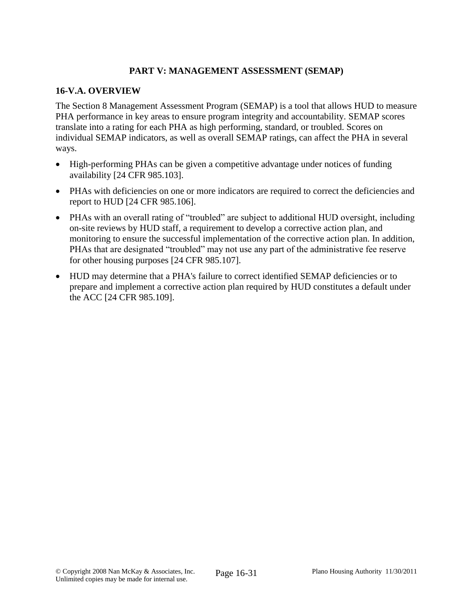## **PART V: MANAGEMENT ASSESSMENT (SEMAP)**

### **16-V.A. OVERVIEW**

The Section 8 Management Assessment Program (SEMAP) is a tool that allows HUD to measure PHA performance in key areas to ensure program integrity and accountability. SEMAP scores translate into a rating for each PHA as high performing, standard, or troubled. Scores on individual SEMAP indicators, as well as overall SEMAP ratings, can affect the PHA in several ways.

- High-performing PHAs can be given a competitive advantage under notices of funding availability [24 CFR 985.103].
- PHAs with deficiencies on one or more indicators are required to correct the deficiencies and report to HUD [24 CFR 985.106].
- PHAs with an overall rating of "troubled" are subject to additional HUD oversight, including on-site reviews by HUD staff, a requirement to develop a corrective action plan, and monitoring to ensure the successful implementation of the corrective action plan. In addition, PHAs that are designated "troubled" may not use any part of the administrative fee reserve for other housing purposes [24 CFR 985.107].
- HUD may determine that a PHA's failure to correct identified SEMAP deficiencies or to prepare and implement a corrective action plan required by HUD constitutes a default under the ACC [24 CFR 985.109].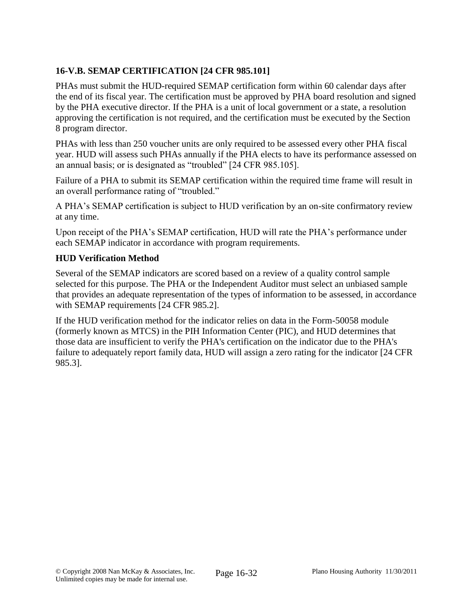# **16-V.B. SEMAP CERTIFICATION [24 CFR 985.101]**

PHAs must submit the HUD-required SEMAP certification form within 60 calendar days after the end of its fiscal year. The certification must be approved by PHA board resolution and signed by the PHA executive director. If the PHA is a unit of local government or a state, a resolution approving the certification is not required, and the certification must be executed by the Section 8 program director.

PHAs with less than 250 voucher units are only required to be assessed every other PHA fiscal year. HUD will assess such PHAs annually if the PHA elects to have its performance assessed on an annual basis; or is designated as "troubled" [24 CFR 985.105].

Failure of a PHA to submit its SEMAP certification within the required time frame will result in an overall performance rating of "troubled."

A PHA's SEMAP certification is subject to HUD verification by an on-site confirmatory review at any time.

Upon receipt of the PHA's SEMAP certification, HUD will rate the PHA's performance under each SEMAP indicator in accordance with program requirements.

# **HUD Verification Method**

Several of the SEMAP indicators are scored based on a review of a quality control sample selected for this purpose. The PHA or the Independent Auditor must select an unbiased sample that provides an adequate representation of the types of information to be assessed, in accordance with SEMAP requirements [24 CFR 985.2].

If the HUD verification method for the indicator relies on data in the Form-50058 module (formerly known as MTCS) in the PIH Information Center (PIC), and HUD determines that those data are insufficient to verify the PHA's certification on the indicator due to the PHA's failure to adequately report family data, HUD will assign a zero rating for the indicator [24 CFR 985.3].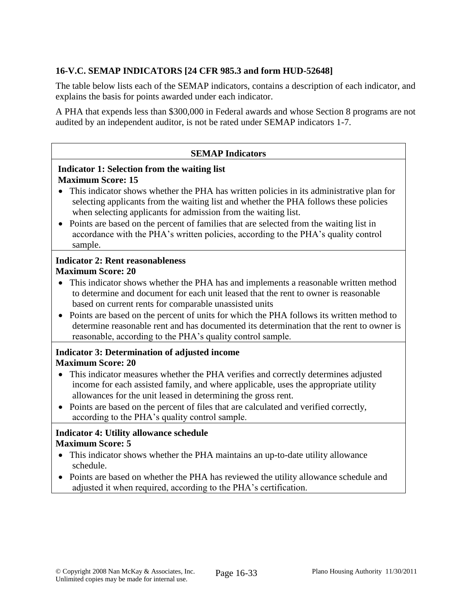# **16-V.C. SEMAP INDICATORS [24 CFR 985.3 and form HUD-52648]**

The table below lists each of the SEMAP indicators, contains a description of each indicator, and explains the basis for points awarded under each indicator.

A PHA that expends less than \$300,000 in Federal awards and whose Section 8 programs are not audited by an independent auditor, is not be rated under SEMAP indicators 1-7.

#### **SEMAP Indicators**

### **Indicator 1: Selection from the waiting list Maximum Score: 15**

- This indicator shows whether the PHA has written policies in its administrative plan for selecting applicants from the waiting list and whether the PHA follows these policies when selecting applicants for admission from the waiting list.
- Points are based on the percent of families that are selected from the waiting list in accordance with the PHA's written policies, according to the PHA's quality control sample.

### **Indicator 2: Rent reasonableness Maximum Score: 20**

- This indicator shows whether the PHA has and implements a reasonable written method to determine and document for each unit leased that the rent to owner is reasonable based on current rents for comparable unassisted units
- Points are based on the percent of units for which the PHA follows its written method to determine reasonable rent and has documented its determination that the rent to owner is reasonable, according to the PHA's quality control sample.

## **Indicator 3: Determination of adjusted income Maximum Score: 20**

- This indicator measures whether the PHA verifies and correctly determines adjusted income for each assisted family, and where applicable, uses the appropriate utility allowances for the unit leased in determining the gross rent.
- Points are based on the percent of files that are calculated and verified correctly, according to the PHA's quality control sample.

## **Indicator 4: Utility allowance schedule Maximum Score: 5**

- This indicator shows whether the PHA maintains an up-to-date utility allowance schedule.
- Points are based on whether the PHA has reviewed the utility allowance schedule and adjusted it when required, according to the PHA's certification.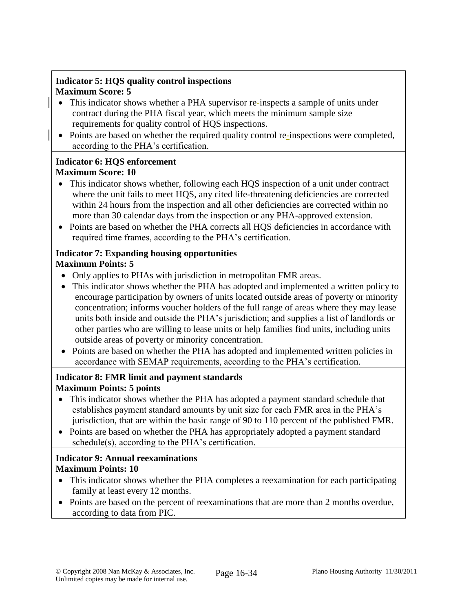# **Indicator 5: HQS quality control inspections Maximum Score: 5**

- This indicator shows whether a PHA supervisor re-inspects a sample of units under contract during the PHA fiscal year, which meets the minimum sample size requirements for quality control of HQS inspections.
- Points are based on whether the required quality control re-inspections were completed, according to the PHA's certification.

## **Indicator 6: HQS enforcement Maximum Score: 10**

- This indicator shows whether, following each HQS inspection of a unit under contract where the unit fails to meet HQS, any cited life-threatening deficiencies are corrected within 24 hours from the inspection and all other deficiencies are corrected within no more than 30 calendar days from the inspection or any PHA-approved extension.
- Points are based on whether the PHA corrects all HQS deficiencies in accordance with required time frames, according to the PHA's certification.

#### **Indicator 7: Expanding housing opportunities Maximum Points: 5**

- Only applies to PHAs with jurisdiction in metropolitan FMR areas.
- This indicator shows whether the PHA has adopted and implemented a written policy to encourage participation by owners of units located outside areas of poverty or minority concentration; informs voucher holders of the full range of areas where they may lease units both inside and outside the PHA's jurisdiction; and supplies a list of landlords or other parties who are willing to lease units or help families find units, including units outside areas of poverty or minority concentration.
- Points are based on whether the PHA has adopted and implemented written policies in accordance with SEMAP requirements, according to the PHA's certification.

# **Indicator 8: FMR limit and payment standards Maximum Points: 5 points**

- This indicator shows whether the PHA has adopted a payment standard schedule that establishes payment standard amounts by unit size for each FMR area in the PHA's jurisdiction, that are within the basic range of 90 to 110 percent of the published FMR.
- Points are based on whether the PHA has appropriately adopted a payment standard schedule(s), according to the PHA's certification.

# **Indicator 9: Annual reexaminations Maximum Points: 10**

- This indicator shows whether the PHA completes a reexamination for each participating family at least every 12 months.
- Points are based on the percent of reexaminations that are more than 2 months overdue, according to data from PIC.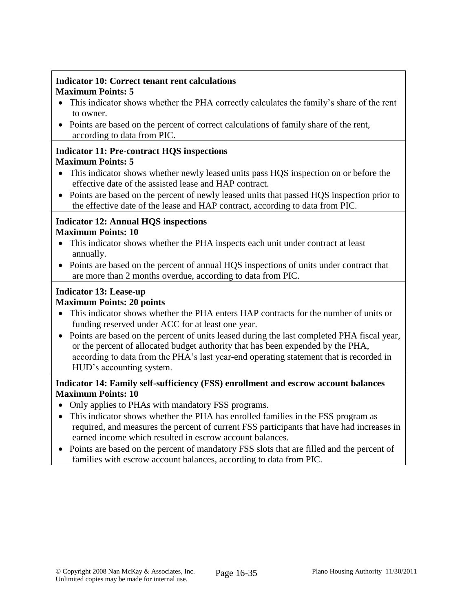# **Indicator 10: Correct tenant rent calculations Maximum Points: 5**

- This indicator shows whether the PHA correctly calculates the family's share of the rent to owner.
- Points are based on the percent of correct calculations of family share of the rent, according to data from PIC.

### **Indicator 11: Pre-contract HQS inspections Maximum Points: 5**

- This indicator shows whether newly leased units pass HQS inspection on or before the effective date of the assisted lease and HAP contract.
- Points are based on the percent of newly leased units that passed HQS inspection prior to the effective date of the lease and HAP contract, according to data from PIC.

# **Indicator 12: Annual HQS inspections Maximum Points: 10**

- This indicator shows whether the PHA inspects each unit under contract at least annually.
- Points are based on the percent of annual HQS inspections of units under contract that are more than 2 months overdue, according to data from PIC.

# **Indicator 13: Lease-up**

# **Maximum Points: 20 points**

- This indicator shows whether the PHA enters HAP contracts for the number of units or funding reserved under ACC for at least one year.
- Points are based on the percent of units leased during the last completed PHA fiscal year, or the percent of allocated budget authority that has been expended by the PHA, according to data from the PHA's last year-end operating statement that is recorded in HUD's accounting system.

# **Indicator 14: Family self-sufficiency (FSS) enrollment and escrow account balances Maximum Points: 10**

- Only applies to PHAs with mandatory FSS programs.
- This indicator shows whether the PHA has enrolled families in the FSS program as required, and measures the percent of current FSS participants that have had increases in earned income which resulted in escrow account balances.
- Points are based on the percent of mandatory FSS slots that are filled and the percent of families with escrow account balances, according to data from PIC.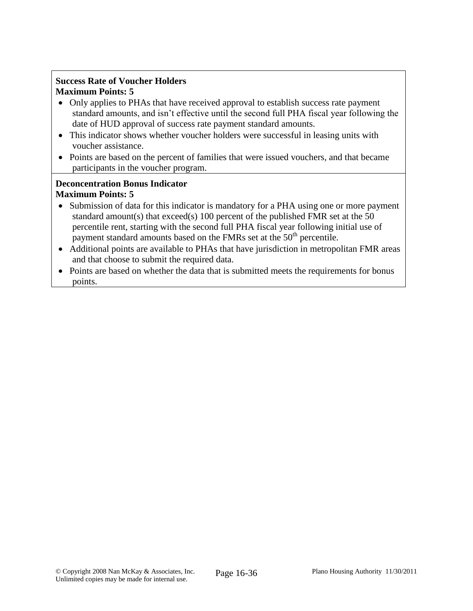# **Success Rate of Voucher Holders Maximum Points: 5**

- Only applies to PHAs that have received approval to establish success rate payment standard amounts, and isn't effective until the second full PHA fiscal year following the date of HUD approval of success rate payment standard amounts.
- This indicator shows whether voucher holders were successful in leasing units with voucher assistance.
- Points are based on the percent of families that were issued vouchers, and that became participants in the voucher program.

### **Deconcentration Bonus Indicator Maximum Points: 5**

- Submission of data for this indicator is mandatory for a PHA using one or more payment standard amount(s) that exceed(s) 100 percent of the published FMR set at the 50 percentile rent, starting with the second full PHA fiscal year following initial use of payment standard amounts based on the FMRs set at the 50<sup>th</sup> percentile.
- Additional points are available to PHAs that have jurisdiction in metropolitan FMR areas and that choose to submit the required data.
- Points are based on whether the data that is submitted meets the requirements for bonus points.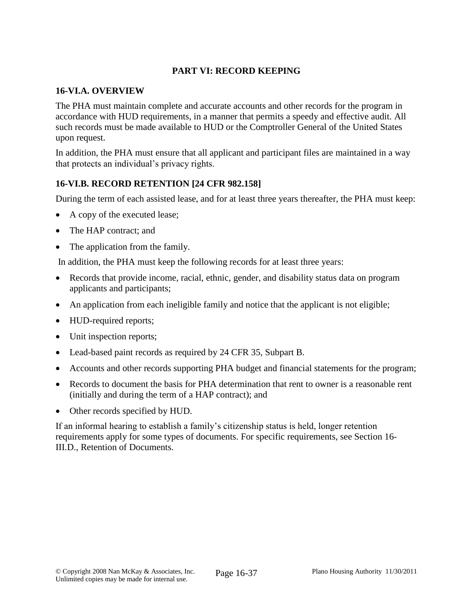# **PART VI: RECORD KEEPING**

### **16-VI.A. OVERVIEW**

The PHA must maintain complete and accurate accounts and other records for the program in accordance with HUD requirements, in a manner that permits a speedy and effective audit. All such records must be made available to HUD or the Comptroller General of the United States upon request.

In addition, the PHA must ensure that all applicant and participant files are maintained in a way that protects an individual's privacy rights.

## **16-VI.B. RECORD RETENTION [24 CFR 982.158]**

During the term of each assisted lease, and for at least three years thereafter, the PHA must keep:

- A copy of the executed lease;
- The HAP contract; and
- The application from the family.

In addition, the PHA must keep the following records for at least three years:

- Records that provide income, racial, ethnic, gender, and disability status data on program applicants and participants;
- An application from each ineligible family and notice that the applicant is not eligible;
- HUD-required reports;
- Unit inspection reports;
- Lead-based paint records as required by 24 CFR 35, Subpart B.
- Accounts and other records supporting PHA budget and financial statements for the program;
- Records to document the basis for PHA determination that rent to owner is a reasonable rent (initially and during the term of a HAP contract); and
- Other records specified by HUD.

If an informal hearing to establish a family's citizenship status is held, longer retention requirements apply for some types of documents. For specific requirements, see Section 16- III.D., Retention of Documents.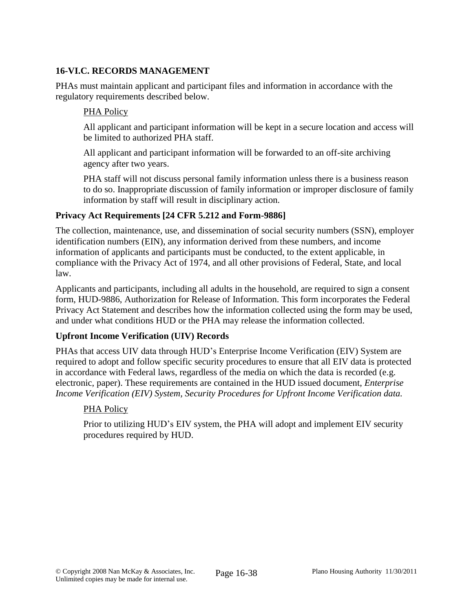# **16-VI.C. RECORDS MANAGEMENT**

PHAs must maintain applicant and participant files and information in accordance with the regulatory requirements described below.

## PHA Policy

All applicant and participant information will be kept in a secure location and access will be limited to authorized PHA staff.

All applicant and participant information will be forwarded to an off-site archiving agency after two years.

PHA staff will not discuss personal family information unless there is a business reason to do so. Inappropriate discussion of family information or improper disclosure of family information by staff will result in disciplinary action.

# **Privacy Act Requirements [24 CFR 5.212 and Form-9886]**

The collection, maintenance, use, and dissemination of social security numbers (SSN), employer identification numbers (EIN), any information derived from these numbers, and income information of applicants and participants must be conducted, to the extent applicable, in compliance with the Privacy Act of 1974, and all other provisions of Federal, State, and local law.

Applicants and participants, including all adults in the household, are required to sign a consent form, HUD-9886, Authorization for Release of Information. This form incorporates the Federal Privacy Act Statement and describes how the information collected using the form may be used, and under what conditions HUD or the PHA may release the information collected.

## **Upfront Income Verification (UIV) Records**

PHAs that access UIV data through HUD's Enterprise Income Verification (EIV) System are required to adopt and follow specific security procedures to ensure that all EIV data is protected in accordance with Federal laws, regardless of the media on which the data is recorded (e.g. electronic, paper). These requirements are contained in the HUD issued document, *Enterprise Income Verification (EIV) System, Security Procedures for Upfront Income Verification data.*

## PHA Policy

Prior to utilizing HUD's EIV system, the PHA will adopt and implement EIV security procedures required by HUD.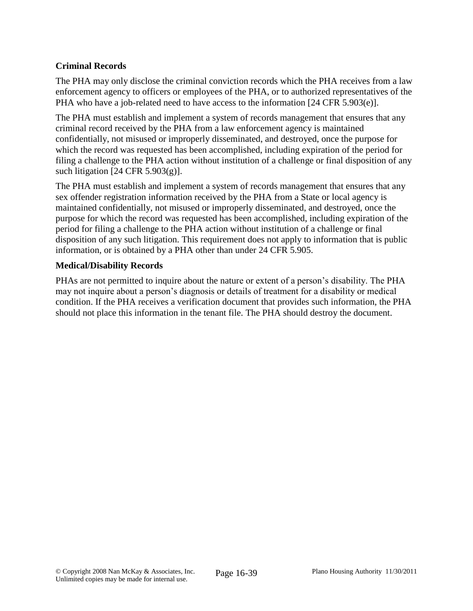# **Criminal Records**

The PHA may only disclose the criminal conviction records which the PHA receives from a law enforcement agency to officers or employees of the PHA, or to authorized representatives of the PHA who have a job-related need to have access to the information [24 CFR 5.903(e)].

The PHA must establish and implement a system of records management that ensures that any criminal record received by the PHA from a law enforcement agency is maintained confidentially, not misused or improperly disseminated, and destroyed, once the purpose for which the record was requested has been accomplished, including expiration of the period for filing a challenge to the PHA action without institution of a challenge or final disposition of any such litigation  $[24 \text{ CFR } 5.903(g)]$ .

The PHA must establish and implement a system of records management that ensures that any sex offender registration information received by the PHA from a State or local agency is maintained confidentially, not misused or improperly disseminated, and destroyed, once the purpose for which the record was requested has been accomplished, including expiration of the period for filing a challenge to the PHA action without institution of a challenge or final disposition of any such litigation. This requirement does not apply to information that is public information, or is obtained by a PHA other than under 24 CFR 5.905.

### **Medical/Disability Records**

PHAs are not permitted to inquire about the nature or extent of a person's disability. The PHA may not inquire about a person's diagnosis or details of treatment for a disability or medical condition. If the PHA receives a verification document that provides such information, the PHA should not place this information in the tenant file. The PHA should destroy the document.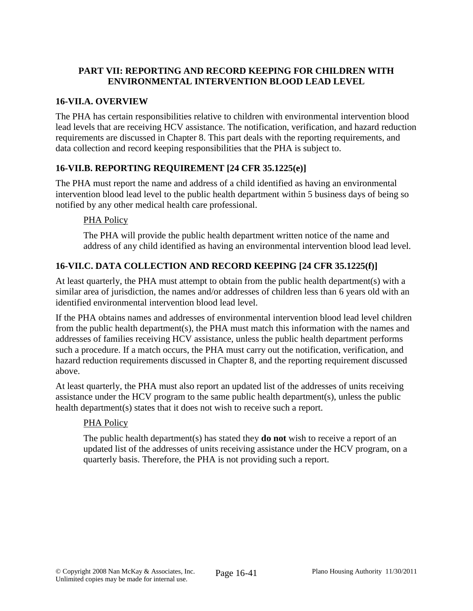# **PART VII: REPORTING AND RECORD KEEPING FOR CHILDREN WITH ENVIRONMENTAL INTERVENTION BLOOD LEAD LEVEL**

# **16-VII.A. OVERVIEW**

The PHA has certain responsibilities relative to children with environmental intervention blood lead levels that are receiving HCV assistance. The notification, verification, and hazard reduction requirements are discussed in Chapter 8. This part deals with the reporting requirements, and data collection and record keeping responsibilities that the PHA is subject to.

# **16-VII.B. REPORTING REQUIREMENT [24 CFR 35.1225(e)]**

The PHA must report the name and address of a child identified as having an environmental intervention blood lead level to the public health department within 5 business days of being so notified by any other medical health care professional.

## PHA Policy

The PHA will provide the public health department written notice of the name and address of any child identified as having an environmental intervention blood lead level.

# **16-VII.C. DATA COLLECTION AND RECORD KEEPING [24 CFR 35.1225(f)]**

At least quarterly, the PHA must attempt to obtain from the public health department(s) with a similar area of jurisdiction, the names and/or addresses of children less than 6 years old with an identified environmental intervention blood lead level.

If the PHA obtains names and addresses of environmental intervention blood lead level children from the public health department(s), the PHA must match this information with the names and addresses of families receiving HCV assistance, unless the public health department performs such a procedure. If a match occurs, the PHA must carry out the notification, verification, and hazard reduction requirements discussed in Chapter 8, and the reporting requirement discussed above.

At least quarterly, the PHA must also report an updated list of the addresses of units receiving assistance under the HCV program to the same public health department(s), unless the public health department(s) states that it does not wish to receive such a report.

## PHA Policy

The public health department(s) has stated they **do not** wish to receive a report of an updated list of the addresses of units receiving assistance under the HCV program, on a quarterly basis. Therefore, the PHA is not providing such a report.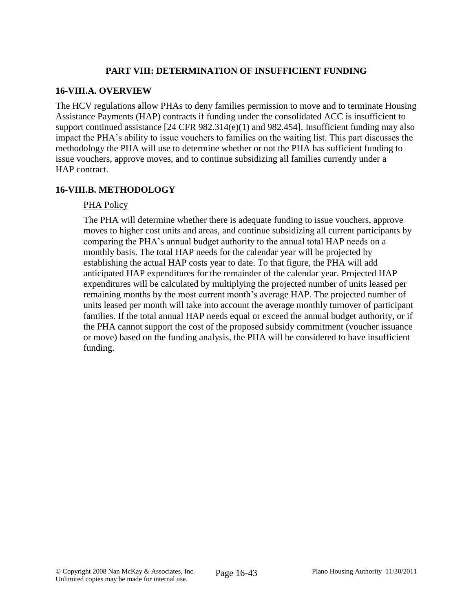### **PART VIII: DETERMINATION OF INSUFFICIENT FUNDING**

### **16-VIII.A. OVERVIEW**

The HCV regulations allow PHAs to deny families permission to move and to terminate Housing Assistance Payments (HAP) contracts if funding under the consolidated ACC is insufficient to support continued assistance [24 CFR 982.314(e)(1) and 982.454]. Insufficient funding may also impact the PHA's ability to issue vouchers to families on the waiting list. This part discusses the methodology the PHA will use to determine whether or not the PHA has sufficient funding to issue vouchers, approve moves, and to continue subsidizing all families currently under a HAP contract.

## **16-VIII.B. METHODOLOGY**

### PHA Policy

The PHA will determine whether there is adequate funding to issue vouchers, approve moves to higher cost units and areas, and continue subsidizing all current participants by comparing the PHA's annual budget authority to the annual total HAP needs on a monthly basis. The total HAP needs for the calendar year will be projected by establishing the actual HAP costs year to date. To that figure, the PHA will add anticipated HAP expenditures for the remainder of the calendar year. Projected HAP expenditures will be calculated by multiplying the projected number of units leased per remaining months by the most current month's average HAP. The projected number of units leased per month will take into account the average monthly turnover of participant families. If the total annual HAP needs equal or exceed the annual budget authority, or if the PHA cannot support the cost of the proposed subsidy commitment (voucher issuance or move) based on the funding analysis, the PHA will be considered to have insufficient funding.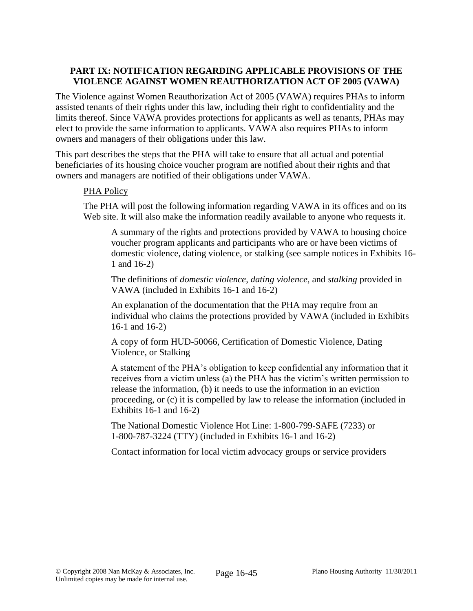## **PART IX: NOTIFICATION REGARDING APPLICABLE PROVISIONS OF THE VIOLENCE AGAINST WOMEN REAUTHORIZATION ACT OF 2005 (VAWA)**

The Violence against Women Reauthorization Act of 2005 (VAWA) requires PHAs to inform assisted tenants of their rights under this law, including their right to confidentiality and the limits thereof. Since VAWA provides protections for applicants as well as tenants, PHAs may elect to provide the same information to applicants. VAWA also requires PHAs to inform owners and managers of their obligations under this law.

This part describes the steps that the PHA will take to ensure that all actual and potential beneficiaries of its housing choice voucher program are notified about their rights and that owners and managers are notified of their obligations under VAWA.

## PHA Policy

The PHA will post the following information regarding VAWA in its offices and on its Web site. It will also make the information readily available to anyone who requests it.

A summary of the rights and protections provided by VAWA to housing choice voucher program applicants and participants who are or have been victims of domestic violence, dating violence, or stalking (see sample notices in Exhibits 16- 1 and 16-2)

The definitions of *domestic violence*, *dating violence*, and *stalking* provided in VAWA (included in Exhibits 16-1 and 16-2)

An explanation of the documentation that the PHA may require from an individual who claims the protections provided by VAWA (included in Exhibits 16-1 and 16-2)

A copy of form HUD-50066, Certification of Domestic Violence, Dating Violence, or Stalking

A statement of the PHA's obligation to keep confidential any information that it receives from a victim unless (a) the PHA has the victim's written permission to release the information, (b) it needs to use the information in an eviction proceeding, or (c) it is compelled by law to release the information (included in Exhibits 16-1 and 16-2)

The National Domestic Violence Hot Line: 1-800-799-SAFE (7233) or 1-800-787-3224 (TTY) (included in Exhibits 16-1 and 16-2)

Contact information for local victim advocacy groups or service providers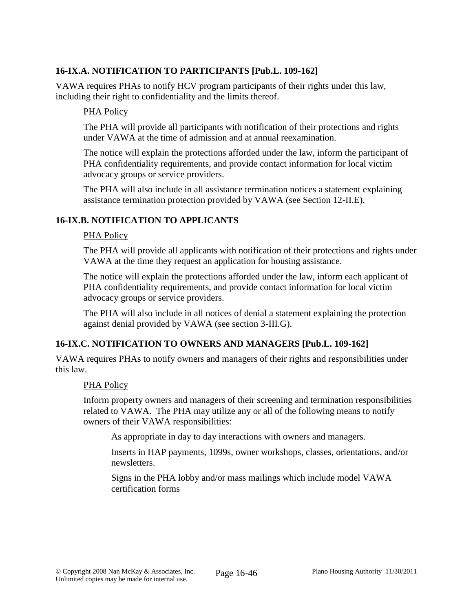# **16-IX.A. NOTIFICATION TO PARTICIPANTS [Pub.L. 109-162]**

VAWA requires PHAs to notify HCV program participants of their rights under this law, including their right to confidentiality and the limits thereof.

### PHA Policy

The PHA will provide all participants with notification of their protections and rights under VAWA at the time of admission and at annual reexamination.

The notice will explain the protections afforded under the law, inform the participant of PHA confidentiality requirements, and provide contact information for local victim advocacy groups or service providers.

The PHA will also include in all assistance termination notices a statement explaining assistance termination protection provided by VAWA (see Section 12-II.E).

## **16-IX.B. NOTIFICATION TO APPLICANTS**

#### PHA Policy

The PHA will provide all applicants with notification of their protections and rights under VAWA at the time they request an application for housing assistance.

The notice will explain the protections afforded under the law, inform each applicant of PHA confidentiality requirements, and provide contact information for local victim advocacy groups or service providers.

The PHA will also include in all notices of denial a statement explaining the protection against denial provided by VAWA (see section 3-III.G).

## **16-IX.C. NOTIFICATION TO OWNERS AND MANAGERS [Pub.L. 109-162]**

VAWA requires PHAs to notify owners and managers of their rights and responsibilities under this law.

#### PHA Policy

Inform property owners and managers of their screening and termination responsibilities related to VAWA. The PHA may utilize any or all of the following means to notify owners of their VAWA responsibilities:

As appropriate in day to day interactions with owners and managers.

Inserts in HAP payments, 1099s, owner workshops, classes, orientations, and/or newsletters.

Signs in the PHA lobby and/or mass mailings which include model VAWA certification forms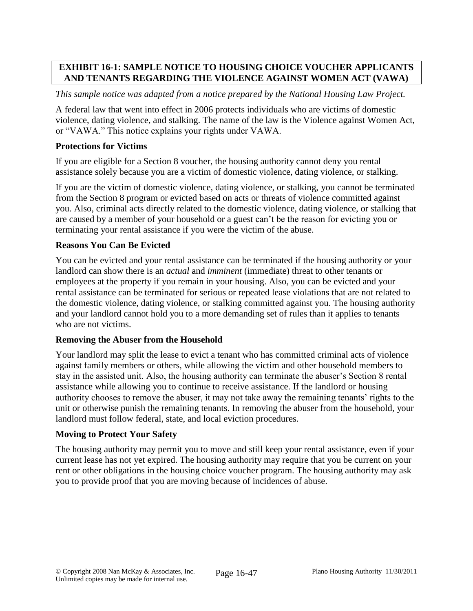# **EXHIBIT 16-1: SAMPLE NOTICE TO HOUSING CHOICE VOUCHER APPLICANTS AND TENANTS REGARDING THE VIOLENCE AGAINST WOMEN ACT (VAWA)**

## *This sample notice was adapted from a notice prepared by the National Housing Law Project.*

A federal law that went into effect in 2006 protects individuals who are victims of domestic violence, dating violence, and stalking. The name of the law is the Violence against Women Act, or "VAWA." This notice explains your rights under VAWA.

## **Protections for Victims**

If you are eligible for a Section 8 voucher, the housing authority cannot deny you rental assistance solely because you are a victim of domestic violence, dating violence, or stalking.

If you are the victim of domestic violence, dating violence, or stalking, you cannot be terminated from the Section 8 program or evicted based on acts or threats of violence committed against you. Also, criminal acts directly related to the domestic violence, dating violence, or stalking that are caused by a member of your household or a guest can't be the reason for evicting you or terminating your rental assistance if you were the victim of the abuse.

# **Reasons You Can Be Evicted**

You can be evicted and your rental assistance can be terminated if the housing authority or your landlord can show there is an *actual* and *imminent* (immediate) threat to other tenants or employees at the property if you remain in your housing. Also, you can be evicted and your rental assistance can be terminated for serious or repeated lease violations that are not related to the domestic violence, dating violence, or stalking committed against you. The housing authority and your landlord cannot hold you to a more demanding set of rules than it applies to tenants who are not victims.

## **Removing the Abuser from the Household**

Your landlord may split the lease to evict a tenant who has committed criminal acts of violence against family members or others, while allowing the victim and other household members to stay in the assisted unit. Also, the housing authority can terminate the abuser's Section 8 rental assistance while allowing you to continue to receive assistance. If the landlord or housing authority chooses to remove the abuser, it may not take away the remaining tenants' rights to the unit or otherwise punish the remaining tenants. In removing the abuser from the household, your landlord must follow federal, state, and local eviction procedures.

## **Moving to Protect Your Safety**

The housing authority may permit you to move and still keep your rental assistance, even if your current lease has not yet expired. The housing authority may require that you be current on your rent or other obligations in the housing choice voucher program. The housing authority may ask you to provide proof that you are moving because of incidences of abuse.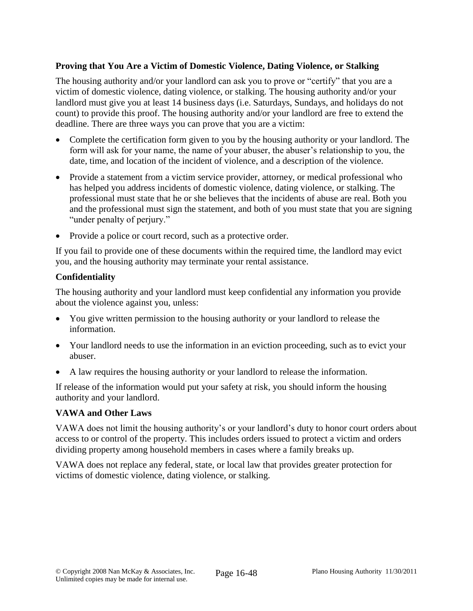### **Proving that You Are a Victim of Domestic Violence, Dating Violence, or Stalking**

The housing authority and/or your landlord can ask you to prove or "certify" that you are a victim of domestic violence, dating violence, or stalking. The housing authority and/or your landlord must give you at least 14 business days (i.e. Saturdays, Sundays, and holidays do not count) to provide this proof. The housing authority and/or your landlord are free to extend the deadline. There are three ways you can prove that you are a victim:

- Complete the certification form given to you by the housing authority or your landlord. The form will ask for your name, the name of your abuser, the abuser's relationship to you, the date, time, and location of the incident of violence, and a description of the violence.
- Provide a statement from a victim service provider, attorney, or medical professional who has helped you address incidents of domestic violence, dating violence, or stalking. The professional must state that he or she believes that the incidents of abuse are real. Both you and the professional must sign the statement, and both of you must state that you are signing "under penalty of perjury."
- Provide a police or court record, such as a protective order.

If you fail to provide one of these documents within the required time, the landlord may evict you, and the housing authority may terminate your rental assistance.

### **Confidentiality**

The housing authority and your landlord must keep confidential any information you provide about the violence against you, unless:

- You give written permission to the housing authority or your landlord to release the information.
- Your landlord needs to use the information in an eviction proceeding, such as to evict your abuser.
- A law requires the housing authority or your landlord to release the information.

If release of the information would put your safety at risk, you should inform the housing authority and your landlord.

#### **VAWA and Other Laws**

VAWA does not limit the housing authority's or your landlord's duty to honor court orders about access to or control of the property. This includes orders issued to protect a victim and orders dividing property among household members in cases where a family breaks up.

VAWA does not replace any federal, state, or local law that provides greater protection for victims of domestic violence, dating violence, or stalking.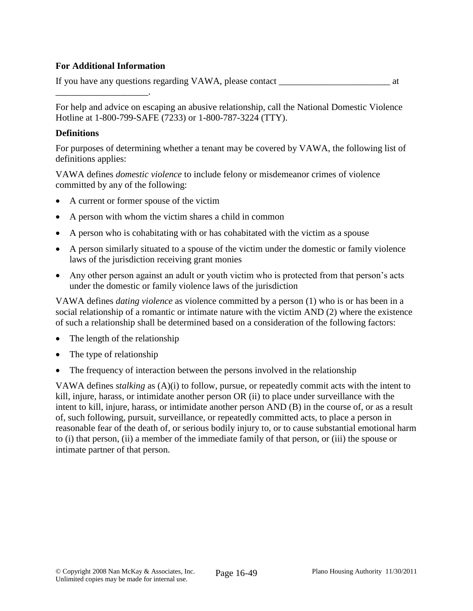### **For Additional Information**

\_\_\_\_\_\_\_\_\_\_\_\_\_\_\_\_\_\_\_\_.

If you have any questions regarding VAWA, please contact \_\_\_\_\_\_\_\_\_\_\_\_\_\_\_\_\_\_\_\_\_\_\_\_ at

For help and advice on escaping an abusive relationship, call the National Domestic Violence Hotline at 1-800-799-SAFE (7233) or 1-800-787-3224 (TTY).

#### **Definitions**

For purposes of determining whether a tenant may be covered by VAWA, the following list of definitions applies:

VAWA defines *domestic violence* to include felony or misdemeanor crimes of violence committed by any of the following:

- A current or former spouse of the victim
- A person with whom the victim shares a child in common
- A person who is cohabitating with or has cohabitated with the victim as a spouse
- A person similarly situated to a spouse of the victim under the domestic or family violence laws of the jurisdiction receiving grant monies
- Any other person against an adult or youth victim who is protected from that person's acts under the domestic or family violence laws of the jurisdiction

VAWA defines *dating violence* as violence committed by a person (1) who is or has been in a social relationship of a romantic or intimate nature with the victim AND (2) where the existence of such a relationship shall be determined based on a consideration of the following factors:

- The length of the relationship
- The type of relationship
- The frequency of interaction between the persons involved in the relationship

VAWA defines *stalking* as (A)(i) to follow, pursue, or repeatedly commit acts with the intent to kill, injure, harass, or intimidate another person OR (ii) to place under surveillance with the intent to kill, injure, harass, or intimidate another person AND (B) in the course of, or as a result of, such following, pursuit, surveillance, or repeatedly committed acts, to place a person in reasonable fear of the death of, or serious bodily injury to, or to cause substantial emotional harm to (i) that person, (ii) a member of the immediate family of that person, or (iii) the spouse or intimate partner of that person.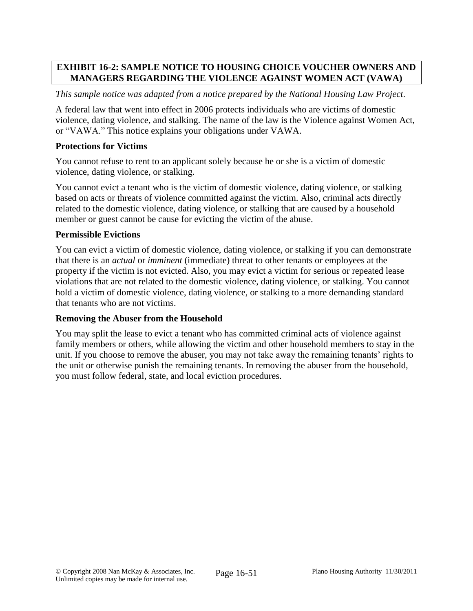# **EXHIBIT 16-2: SAMPLE NOTICE TO HOUSING CHOICE VOUCHER OWNERS AND MANAGERS REGARDING THE VIOLENCE AGAINST WOMEN ACT (VAWA)**

### *This sample notice was adapted from a notice prepared by the National Housing Law Project.*

A federal law that went into effect in 2006 protects individuals who are victims of domestic violence, dating violence, and stalking. The name of the law is the Violence against Women Act, or "VAWA." This notice explains your obligations under VAWA.

### **Protections for Victims**

You cannot refuse to rent to an applicant solely because he or she is a victim of domestic violence, dating violence, or stalking.

You cannot evict a tenant who is the victim of domestic violence, dating violence, or stalking based on acts or threats of violence committed against the victim. Also, criminal acts directly related to the domestic violence, dating violence, or stalking that are caused by a household member or guest cannot be cause for evicting the victim of the abuse.

#### **Permissible Evictions**

You can evict a victim of domestic violence, dating violence, or stalking if you can demonstrate that there is an *actual* or *imminent* (immediate) threat to other tenants or employees at the property if the victim is not evicted. Also, you may evict a victim for serious or repeated lease violations that are not related to the domestic violence, dating violence, or stalking. You cannot hold a victim of domestic violence, dating violence, or stalking to a more demanding standard that tenants who are not victims.

## **Removing the Abuser from the Household**

You may split the lease to evict a tenant who has committed criminal acts of violence against family members or others, while allowing the victim and other household members to stay in the unit. If you choose to remove the abuser, you may not take away the remaining tenants' rights to the unit or otherwise punish the remaining tenants. In removing the abuser from the household, you must follow federal, state, and local eviction procedures.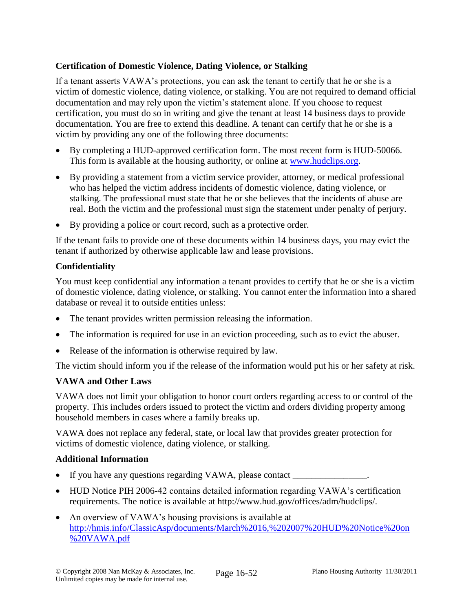## **Certification of Domestic Violence, Dating Violence, or Stalking**

If a tenant asserts VAWA's protections, you can ask the tenant to certify that he or she is a victim of domestic violence, dating violence, or stalking. You are not required to demand official documentation and may rely upon the victim's statement alone. If you choose to request certification, you must do so in writing and give the tenant at least 14 business days to provide documentation. You are free to extend this deadline. A tenant can certify that he or she is a victim by providing any one of the following three documents:

- By completing a HUD-approved certification form. The most recent form is HUD-50066. This form is available at the housing authority, or online at [www.hudclips.org.](http://www.hudclips.org/)
- By providing a statement from a victim service provider, attorney, or medical professional who has helped the victim address incidents of domestic violence, dating violence, or stalking. The professional must state that he or she believes that the incidents of abuse are real. Both the victim and the professional must sign the statement under penalty of perjury.
- By providing a police or court record, such as a protective order.

If the tenant fails to provide one of these documents within 14 business days, you may evict the tenant if authorized by otherwise applicable law and lease provisions.

# **Confidentiality**

You must keep confidential any information a tenant provides to certify that he or she is a victim of domestic violence, dating violence, or stalking. You cannot enter the information into a shared database or reveal it to outside entities unless:

- The tenant provides written permission releasing the information.
- The information is required for use in an eviction proceeding, such as to evict the abuser.
- Release of the information is otherwise required by law.

The victim should inform you if the release of the information would put his or her safety at risk.

# **VAWA and Other Laws**

VAWA does not limit your obligation to honor court orders regarding access to or control of the property. This includes orders issued to protect the victim and orders dividing property among household members in cases where a family breaks up.

VAWA does not replace any federal, state, or local law that provides greater protection for victims of domestic violence, dating violence, or stalking.

## **Additional Information**

- If you have any questions regarding VAWA, please contact \_\_\_\_\_\_\_\_\_\_\_\_\_\_\_\_\_\_\_\_\_\_\_
- HUD Notice PIH 2006-42 contains detailed information regarding VAWA's certification requirements. The notice is available at http://www.hud.gov/offices/adm/hudclips/.
- An overview of VAWA's housing provisions is available at [http://hmis.info/ClassicAsp/documents/March%2016,%202007%20HUD%20Notice%20on](http://hmis.info/ClassicAsp/documents/March%2016,%202007%20HUD%20Notice%20on%20VAWA.pdf) [%20VAWA.pdf](http://hmis.info/ClassicAsp/documents/March%2016,%202007%20HUD%20Notice%20on%20VAWA.pdf)